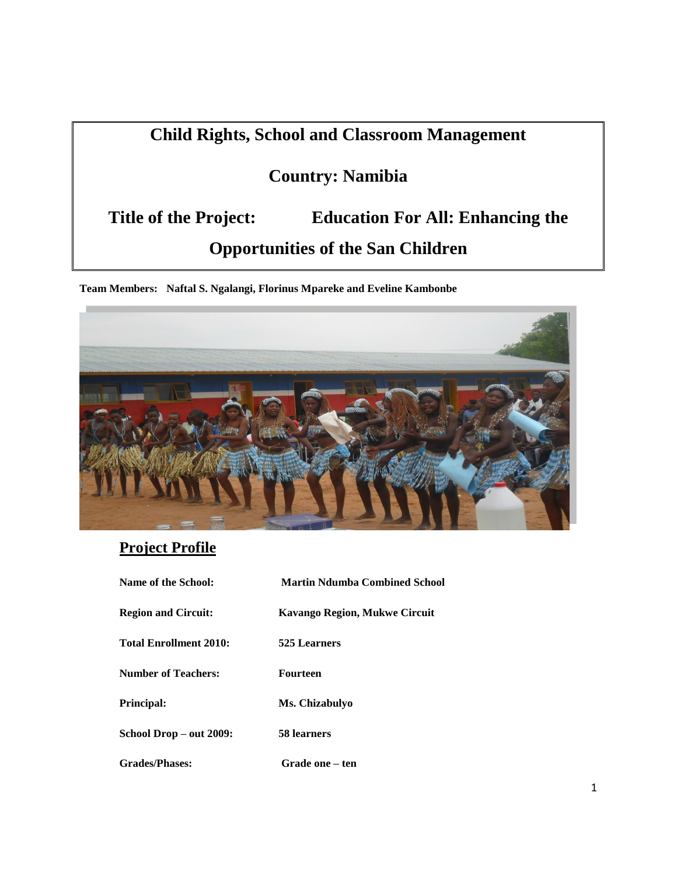# **Child Rights, School and Classroom Management**

# **Country: Namibia**

# **Title of the Project: Education For All: Enhancing the Opportunities of the San Children**

**Team Members: Naftal S. Ngalangi, Florinus Mpareke and Eveline Kambonbe**



## **Project Profile**

| Name of the School:           | <b>Martin Ndumba Combined School</b> |
|-------------------------------|--------------------------------------|
| <b>Region and Circuit:</b>    | <b>Kavango Region, Mukwe Circuit</b> |
| <b>Total Enrollment 2010:</b> | 525 Learners                         |
| <b>Number of Teachers:</b>    | <b>Fourteen</b>                      |
| <b>Principal:</b>             | Ms. Chizabulyo                       |
| School Drop - out 2009:       | 58 learners                          |
| <b>Grades/Phases:</b>         | Grade one – ten                      |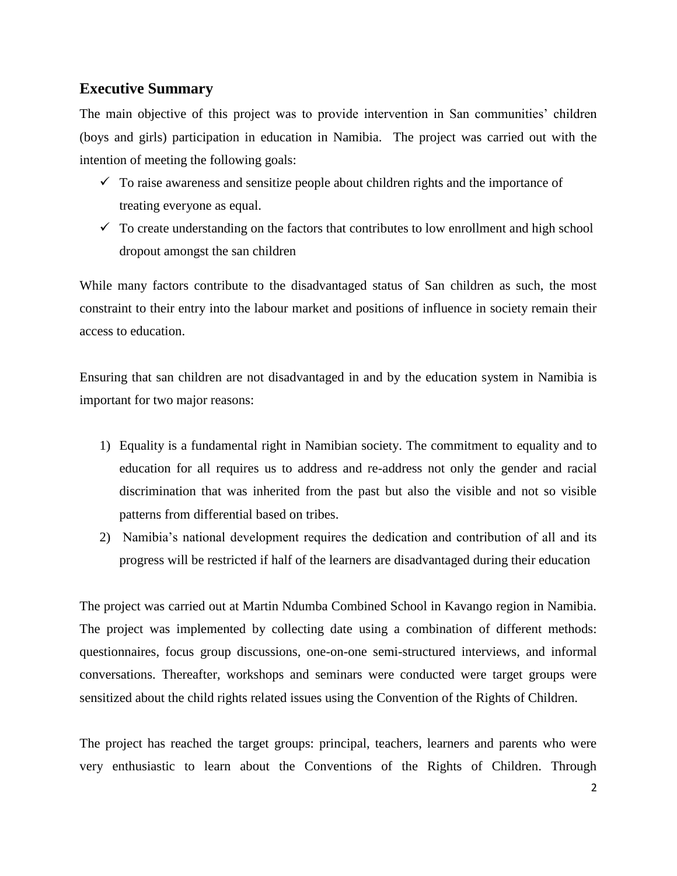### **Executive Summary**

The main objective of this project was to provide intervention in San communities' children (boys and girls) participation in education in Namibia. The project was carried out with the intention of meeting the following goals:

- $\checkmark$  To raise awareness and sensitize people about children rights and the importance of treating everyone as equal.
- $\checkmark$  To create understanding on the factors that contributes to low enrollment and high school dropout amongst the san children

While many factors contribute to the disadvantaged status of San children as such, the most constraint to their entry into the labour market and positions of influence in society remain their access to education.

Ensuring that san children are not disadvantaged in and by the education system in Namibia is important for two major reasons:

- 1) Equality is a fundamental right in Namibian society. The commitment to equality and to education for all requires us to address and re-address not only the gender and racial discrimination that was inherited from the past but also the visible and not so visible patterns from differential based on tribes.
- 2) Namibia's national development requires the dedication and contribution of all and its progress will be restricted if half of the learners are disadvantaged during their education

The project was carried out at Martin Ndumba Combined School in Kavango region in Namibia. The project was implemented by collecting date using a combination of different methods: questionnaires, focus group discussions, one-on-one semi-structured interviews, and informal conversations. Thereafter, workshops and seminars were conducted were target groups were sensitized about the child rights related issues using the Convention of the Rights of Children.

The project has reached the target groups: principal, teachers, learners and parents who were very enthusiastic to learn about the Conventions of the Rights of Children. Through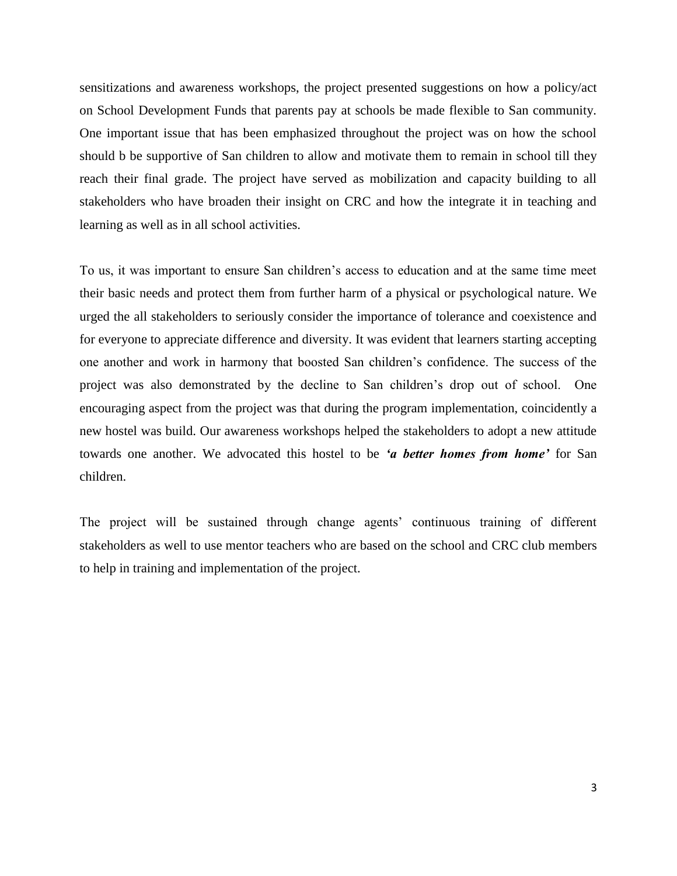sensitizations and awareness workshops, the project presented suggestions on how a policy/act on School Development Funds that parents pay at schools be made flexible to San community. One important issue that has been emphasized throughout the project was on how the school should b be supportive of San children to allow and motivate them to remain in school till they reach their final grade. The project have served as mobilization and capacity building to all stakeholders who have broaden their insight on CRC and how the integrate it in teaching and learning as well as in all school activities.

To us, it was important to ensure San children's access to education and at the same time meet their basic needs and protect them from further harm of a physical or psychological nature. We urged the all stakeholders to seriously consider the importance of tolerance and coexistence and for everyone to appreciate difference and diversity. It was evident that learners starting accepting one another and work in harmony that boosted San children's confidence. The success of the project was also demonstrated by the decline to San children's drop out of school. One encouraging aspect from the project was that during the program implementation, coincidently a new hostel was build. Our awareness workshops helped the stakeholders to adopt a new attitude towards one another. We advocated this hostel to be *'a better homes from home'* for San children.

The project will be sustained through change agents' continuous training of different stakeholders as well to use mentor teachers who are based on the school and CRC club members to help in training and implementation of the project.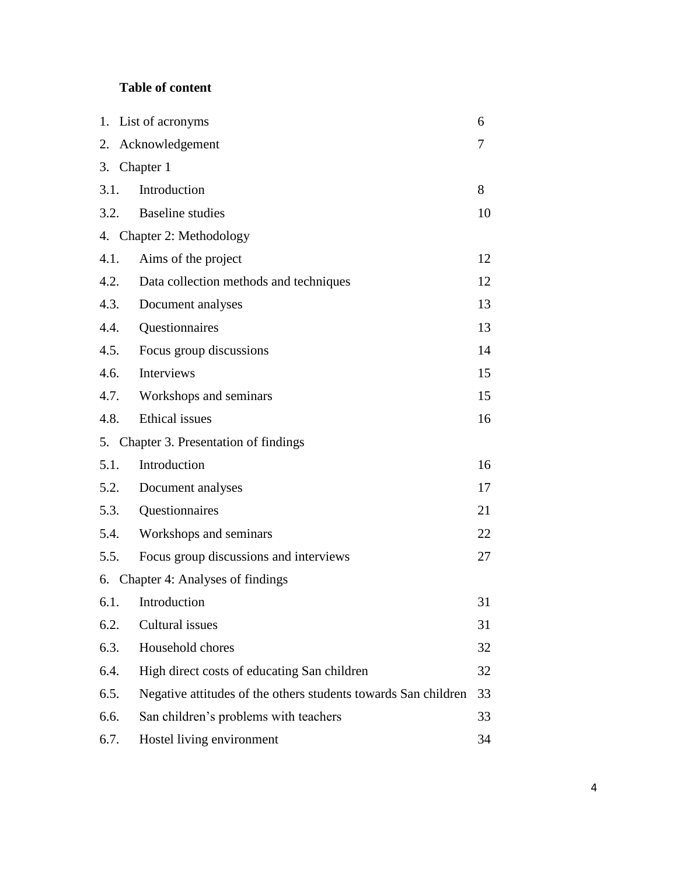### **Table of content**

|      | 1. List of acronyms<br>6                                       |    |  |  |  |
|------|----------------------------------------------------------------|----|--|--|--|
| 2.   | Acknowledgement                                                | 7  |  |  |  |
|      | 3. Chapter 1                                                   |    |  |  |  |
| 3.1. | Introduction                                                   | 8  |  |  |  |
|      | 3.2. Baseline studies                                          | 10 |  |  |  |
|      | 4. Chapter 2: Methodology                                      |    |  |  |  |
| 4.1. | Aims of the project                                            | 12 |  |  |  |
| 4.2. | Data collection methods and techniques                         | 12 |  |  |  |
| 4.3. | Document analyses                                              | 13 |  |  |  |
| 4.4. | Questionnaires                                                 | 13 |  |  |  |
| 4.5. | Focus group discussions                                        | 14 |  |  |  |
| 4.6. | Interviews                                                     | 15 |  |  |  |
| 4.7. | Workshops and seminars                                         | 15 |  |  |  |
| 4.8. | Ethical issues                                                 | 16 |  |  |  |
|      | 5. Chapter 3. Presentation of findings                         |    |  |  |  |
| 5.1. | Introduction                                                   | 16 |  |  |  |
| 5.2. | Document analyses                                              | 17 |  |  |  |
| 5.3. | Questionnaires                                                 | 21 |  |  |  |
| 5.4. | Workshops and seminars                                         | 22 |  |  |  |
| 5.5. | Focus group discussions and interviews                         | 27 |  |  |  |
|      | 6. Chapter 4: Analyses of findings                             |    |  |  |  |
| 6.1. | Introduction                                                   | 31 |  |  |  |
| 6.2. | Cultural issues                                                | 31 |  |  |  |
| 6.3. | Household chores                                               | 32 |  |  |  |
| 6.4. | High direct costs of educating San children                    | 32 |  |  |  |
| 6.5. | Negative attitudes of the others students towards San children | 33 |  |  |  |
| 6.6. | San children's problems with teachers                          | 33 |  |  |  |
| 6.7. | Hostel living environment                                      | 34 |  |  |  |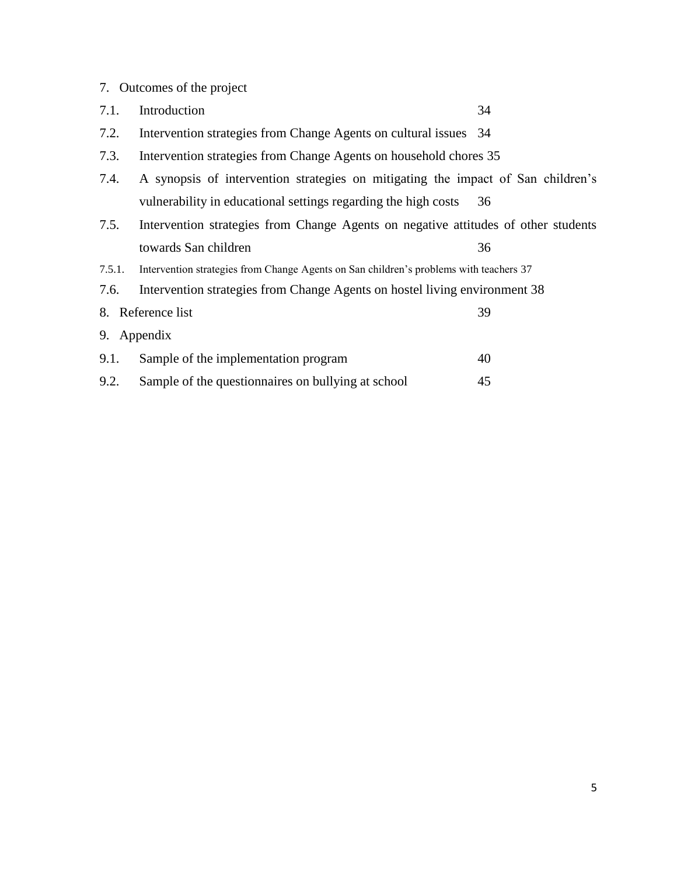|        | 7. Outcomes of the project                                                             |    |
|--------|----------------------------------------------------------------------------------------|----|
| 7.1.   | Introduction                                                                           | 34 |
| 7.2.   | Intervention strategies from Change Agents on cultural issues 34                       |    |
| 7.3.   | Intervention strategies from Change Agents on household chores 35                      |    |
| 7.4.   | A synopsis of intervention strategies on mitigating the impact of San children's       |    |
|        | vulnerability in educational settings regarding the high costs                         | 36 |
| 7.5.   | Intervention strategies from Change Agents on negative attitudes of other students     |    |
|        | towards San children                                                                   | 36 |
| 7.5.1. | Intervention strategies from Change Agents on San children's problems with teachers 37 |    |
| 7.6.   | Intervention strategies from Change Agents on hostel living environment 38             |    |
|        | 8. Reference list                                                                      | 39 |
|        | 9. Appendix                                                                            |    |
| 9.1.   | Sample of the implementation program                                                   | 40 |
| 9.2.   | Sample of the questionnaires on bullying at school                                     | 45 |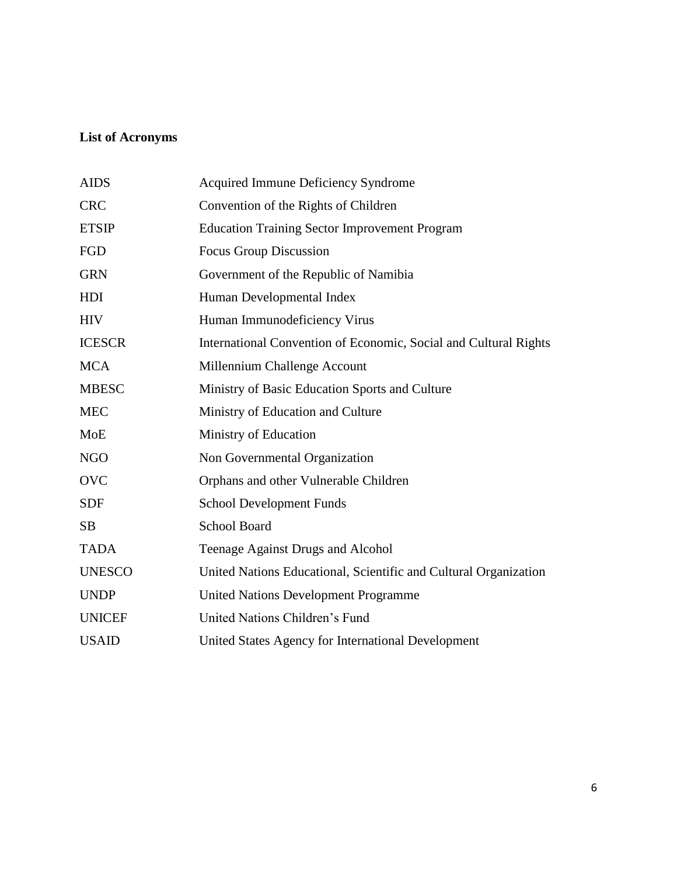# **List of Acronyms**

| <b>AIDS</b>   | Acquired Immune Deficiency Syndrome                              |
|---------------|------------------------------------------------------------------|
| <b>CRC</b>    | Convention of the Rights of Children                             |
| <b>ETSIP</b>  | <b>Education Training Sector Improvement Program</b>             |
| FGD           | <b>Focus Group Discussion</b>                                    |
| <b>GRN</b>    | Government of the Republic of Namibia                            |
| HDI           | Human Developmental Index                                        |
| <b>HIV</b>    | Human Immunodeficiency Virus                                     |
| <b>ICESCR</b> | International Convention of Economic, Social and Cultural Rights |
| <b>MCA</b>    | Millennium Challenge Account                                     |
| <b>MBESC</b>  | Ministry of Basic Education Sports and Culture                   |
| <b>MEC</b>    | Ministry of Education and Culture                                |
| <b>MoE</b>    | Ministry of Education                                            |
| <b>NGO</b>    | Non Governmental Organization                                    |
| <b>OVC</b>    | Orphans and other Vulnerable Children                            |
| <b>SDF</b>    | <b>School Development Funds</b>                                  |
| <b>SB</b>     | <b>School Board</b>                                              |
| <b>TADA</b>   | Teenage Against Drugs and Alcohol                                |
| <b>UNESCO</b> | United Nations Educational, Scientific and Cultural Organization |
| <b>UNDP</b>   | <b>United Nations Development Programme</b>                      |
| <b>UNICEF</b> | United Nations Children's Fund                                   |
| <b>USAID</b>  | United States Agency for International Development               |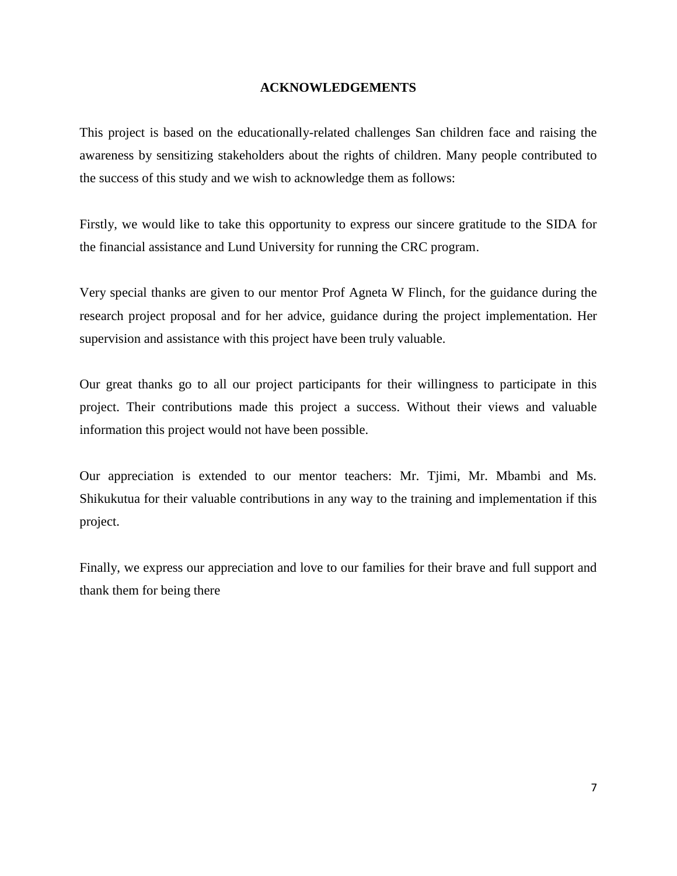#### **ACKNOWLEDGEMENTS**

This project is based on the educationally-related challenges San children face and raising the awareness by sensitizing stakeholders about the rights of children. Many people contributed to the success of this study and we wish to acknowledge them as follows:

Firstly, we would like to take this opportunity to express our sincere gratitude to the SIDA for the financial assistance and Lund University for running the CRC program.

Very special thanks are given to our mentor Prof Agneta W Flinch, for the guidance during the research project proposal and for her advice, guidance during the project implementation. Her supervision and assistance with this project have been truly valuable.

Our great thanks go to all our project participants for their willingness to participate in this project. Their contributions made this project a success. Without their views and valuable information this project would not have been possible.

Our appreciation is extended to our mentor teachers: Mr. Tjimi, Mr. Mbambi and Ms. Shikukutua for their valuable contributions in any way to the training and implementation if this project.

Finally, we express our appreciation and love to our families for their brave and full support and thank them for being there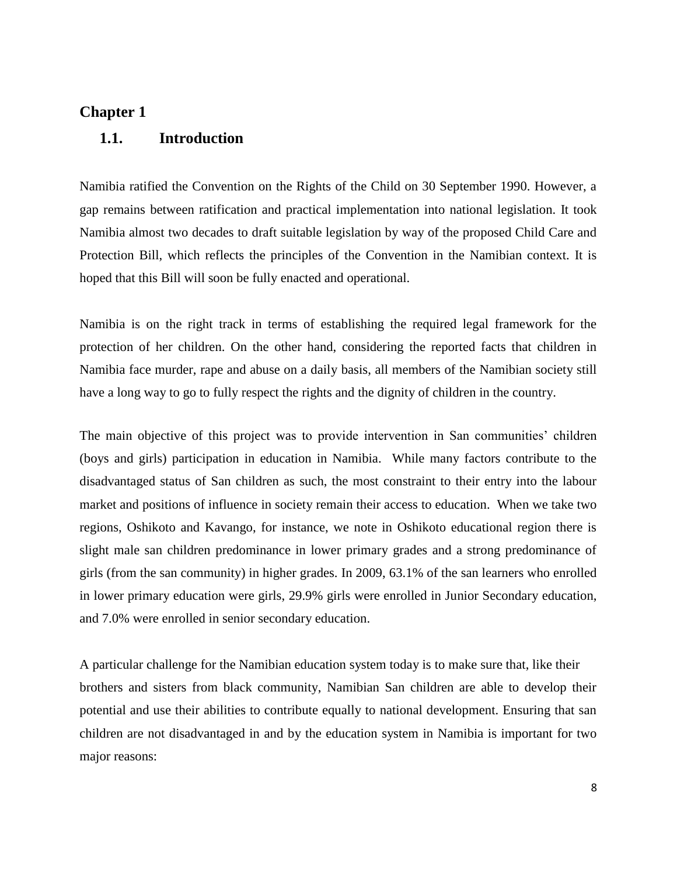# **Chapter 1 1.1. Introduction**

Namibia ratified the Convention on the Rights of the Child on 30 September 1990. However, a gap remains between ratification and practical implementation into national legislation. It took Namibia almost two decades to draft suitable legislation by way of the proposed Child Care and Protection Bill, which reflects the principles of the Convention in the Namibian context. It is hoped that this Bill will soon be fully enacted and operational.

Namibia is on the right track in terms of establishing the required legal framework for the protection of her children. On the other hand, considering the reported facts that children in Namibia face murder, rape and abuse on a daily basis, all members of the Namibian society still have a long way to go to fully respect the rights and the dignity of children in the country.

The main objective of this project was to provide intervention in San communities' children (boys and girls) participation in education in Namibia. While many factors contribute to the disadvantaged status of San children as such, the most constraint to their entry into the labour market and positions of influence in society remain their access to education. When we take two regions, Oshikoto and Kavango, for instance, we note in Oshikoto educational region there is slight male san children predominance in lower primary grades and a strong predominance of girls (from the san community) in higher grades. In 2009, 63.1% of the san learners who enrolled in lower primary education were girls, 29.9% girls were enrolled in Junior Secondary education, and 7.0% were enrolled in senior secondary education.

A particular challenge for the Namibian education system today is to make sure that, like their brothers and sisters from black community, Namibian San children are able to develop their potential and use their abilities to contribute equally to national development. Ensuring that san children are not disadvantaged in and by the education system in Namibia is important for two major reasons: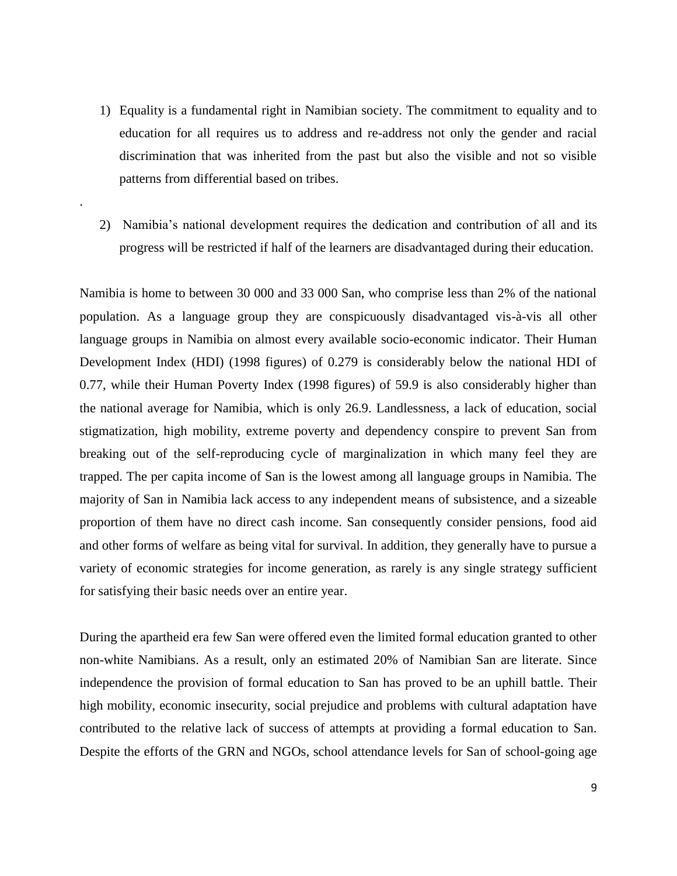- 1) Equality is a fundamental right in Namibian society. The commitment to equality and to education for all requires us to address and re-address not only the gender and racial discrimination that was inherited from the past but also the visible and not so visible patterns from differential based on tribes.
- 2) Namibia's national development requires the dedication and contribution of all and its progress will be restricted if half of the learners are disadvantaged during their education.

.

Namibia is home to between 30 000 and 33 000 San, who comprise less than 2% of the national population. As a language group they are conspicuously disadvantaged vis-à-vis all other language groups in Namibia on almost every available socio-economic indicator. Their Human Development Index (HDI) (1998 figures) of 0.279 is considerably below the national HDI of 0.77, while their Human Poverty Index (1998 figures) of 59.9 is also considerably higher than the national average for Namibia, which is only 26.9. Landlessness, a lack of education, social stigmatization, high mobility, extreme poverty and dependency conspire to prevent San from breaking out of the self-reproducing cycle of marginalization in which many feel they are trapped. The per capita income of San is the lowest among all language groups in Namibia. The majority of San in Namibia lack access to any independent means of subsistence, and a sizeable proportion of them have no direct cash income. San consequently consider pensions, food aid and other forms of welfare as being vital for survival. In addition, they generally have to pursue a variety of economic strategies for income generation, as rarely is any single strategy sufficient for satisfying their basic needs over an entire year.

During the apartheid era few San were offered even the limited formal education granted to other non-white Namibians. As a result, only an estimated 20% of Namibian San are literate. Since independence the provision of formal education to San has proved to be an uphill battle. Their high mobility, economic insecurity, social prejudice and problems with cultural adaptation have contributed to the relative lack of success of attempts at providing a formal education to San. Despite the efforts of the GRN and NGOs, school attendance levels for San of school-going age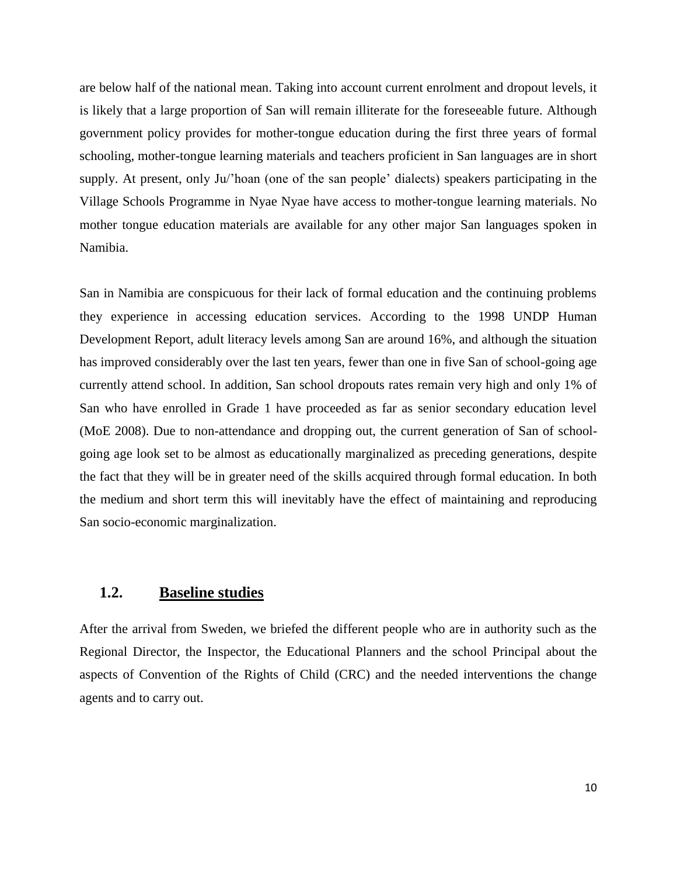are below half of the national mean. Taking into account current enrolment and dropout levels, it is likely that a large proportion of San will remain illiterate for the foreseeable future. Although government policy provides for mother-tongue education during the first three years of formal schooling, mother-tongue learning materials and teachers proficient in San languages are in short supply. At present, only Ju/'hoan (one of the san people' dialects) speakers participating in the Village Schools Programme in Nyae Nyae have access to mother-tongue learning materials. No mother tongue education materials are available for any other major San languages spoken in Namibia.

San in Namibia are conspicuous for their lack of formal education and the continuing problems they experience in accessing education services. According to the 1998 UNDP Human Development Report, adult literacy levels among San are around 16%, and although the situation has improved considerably over the last ten years, fewer than one in five San of school-going age currently attend school. In addition, San school dropouts rates remain very high and only 1% of San who have enrolled in Grade 1 have proceeded as far as senior secondary education level (MoE 2008). Due to non-attendance and dropping out, the current generation of San of schoolgoing age look set to be almost as educationally marginalized as preceding generations, despite the fact that they will be in greater need of the skills acquired through formal education. In both the medium and short term this will inevitably have the effect of maintaining and reproducing San socio-economic marginalization.

### **1.2. Baseline studies**

After the arrival from Sweden, we briefed the different people who are in authority such as the Regional Director, the Inspector, the Educational Planners and the school Principal about the aspects of Convention of the Rights of Child (CRC) and the needed interventions the change agents and to carry out.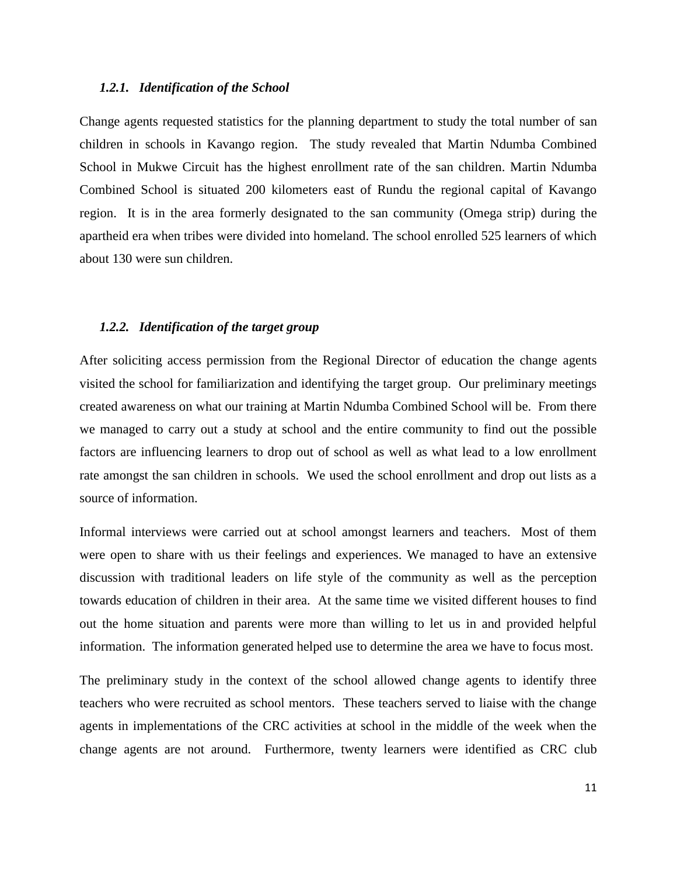#### *1.2.1. Identification of the School*

Change agents requested statistics for the planning department to study the total number of san children in schools in Kavango region. The study revealed that Martin Ndumba Combined School in Mukwe Circuit has the highest enrollment rate of the san children. Martin Ndumba Combined School is situated 200 kilometers east of Rundu the regional capital of Kavango region. It is in the area formerly designated to the san community (Omega strip) during the apartheid era when tribes were divided into homeland. The school enrolled 525 learners of which about 130 were sun children.

#### *1.2.2. Identification of the target group*

After soliciting access permission from the Regional Director of education the change agents visited the school for familiarization and identifying the target group. Our preliminary meetings created awareness on what our training at Martin Ndumba Combined School will be. From there we managed to carry out a study at school and the entire community to find out the possible factors are influencing learners to drop out of school as well as what lead to a low enrollment rate amongst the san children in schools. We used the school enrollment and drop out lists as a source of information.

Informal interviews were carried out at school amongst learners and teachers. Most of them were open to share with us their feelings and experiences. We managed to have an extensive discussion with traditional leaders on life style of the community as well as the perception towards education of children in their area. At the same time we visited different houses to find out the home situation and parents were more than willing to let us in and provided helpful information. The information generated helped use to determine the area we have to focus most.

The preliminary study in the context of the school allowed change agents to identify three teachers who were recruited as school mentors. These teachers served to liaise with the change agents in implementations of the CRC activities at school in the middle of the week when the change agents are not around. Furthermore, twenty learners were identified as CRC club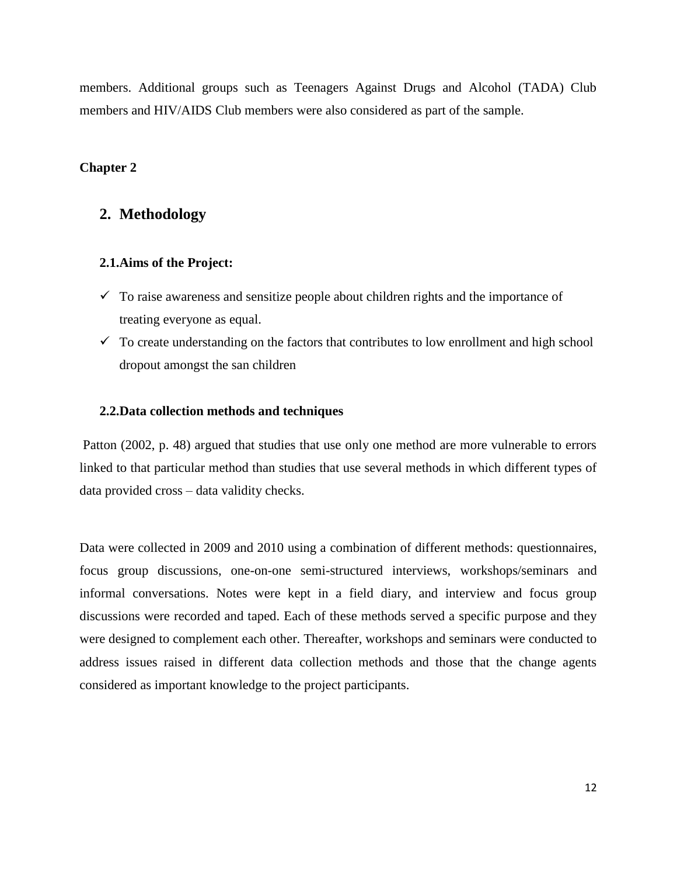members. Additional groups such as Teenagers Against Drugs and Alcohol (TADA) Club members and HIV/AIDS Club members were also considered as part of the sample.

#### **Chapter 2**

### **2. Methodology**

#### **2.1.Aims of the Project:**

- $\checkmark$  To raise awareness and sensitize people about children rights and the importance of treating everyone as equal.
- $\checkmark$  To create understanding on the factors that contributes to low enrollment and high school dropout amongst the san children

#### **2.2.Data collection methods and techniques**

Patton (2002, p. 48) argued that studies that use only one method are more vulnerable to errors linked to that particular method than studies that use several methods in which different types of data provided cross – data validity checks.

Data were collected in 2009 and 2010 using a combination of different methods: questionnaires, focus group discussions, one-on-one semi-structured interviews, workshops/seminars and informal conversations. Notes were kept in a field diary, and interview and focus group discussions were recorded and taped. Each of these methods served a specific purpose and they were designed to complement each other. Thereafter, workshops and seminars were conducted to address issues raised in different data collection methods and those that the change agents considered as important knowledge to the project participants.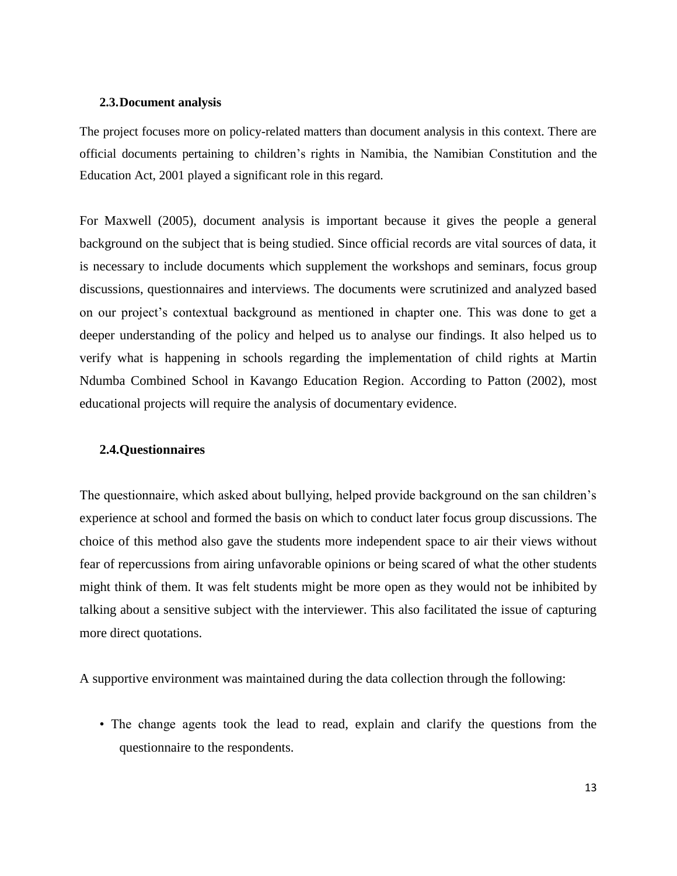#### **2.3.Document analysis**

The project focuses more on policy-related matters than document analysis in this context. There are official documents pertaining to children's rights in Namibia, the Namibian Constitution and the Education Act, 2001 played a significant role in this regard.

For Maxwell (2005), document analysis is important because it gives the people a general background on the subject that is being studied. Since official records are vital sources of data, it is necessary to include documents which supplement the workshops and seminars, focus group discussions, questionnaires and interviews. The documents were scrutinized and analyzed based on our project's contextual background as mentioned in chapter one. This was done to get a deeper understanding of the policy and helped us to analyse our findings. It also helped us to verify what is happening in schools regarding the implementation of child rights at Martin Ndumba Combined School in Kavango Education Region. According to Patton (2002), most educational projects will require the analysis of documentary evidence.

#### **2.4.Questionnaires**

The questionnaire, which asked about bullying, helped provide background on the san children's experience at school and formed the basis on which to conduct later focus group discussions. The choice of this method also gave the students more independent space to air their views without fear of repercussions from airing unfavorable opinions or being scared of what the other students might think of them. It was felt students might be more open as they would not be inhibited by talking about a sensitive subject with the interviewer. This also facilitated the issue of capturing more direct quotations.

A supportive environment was maintained during the data collection through the following:

• The change agents took the lead to read, explain and clarify the questions from the questionnaire to the respondents.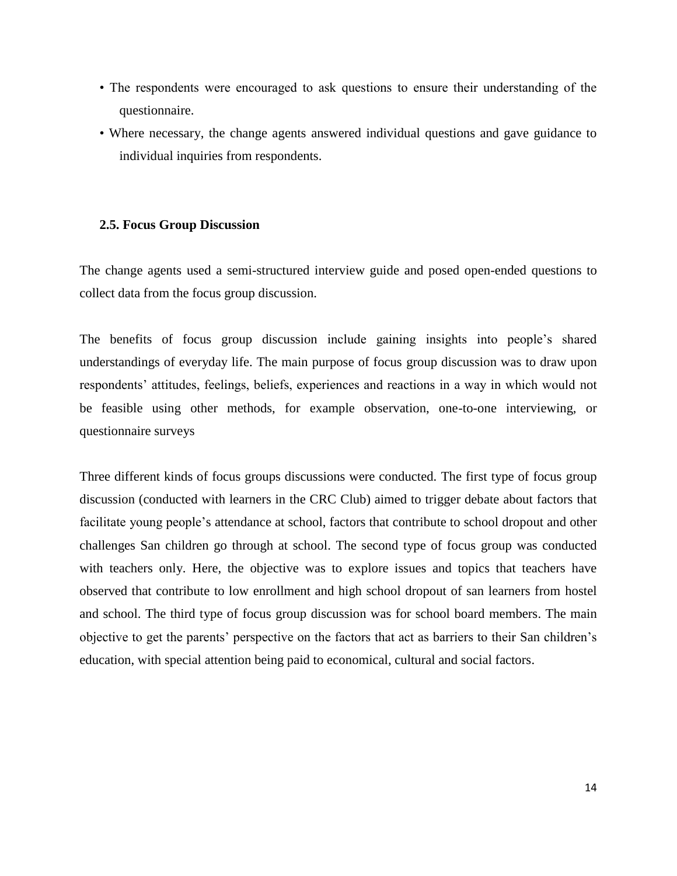- The respondents were encouraged to ask questions to ensure their understanding of the questionnaire.
- Where necessary, the change agents answered individual questions and gave guidance to individual inquiries from respondents.

#### **2.5. Focus Group Discussion**

The change agents used a semi-structured interview guide and posed open-ended questions to collect data from the focus group discussion.

The benefits of focus group discussion include gaining insights into people's shared understandings of everyday life. The main purpose of focus group discussion was to draw upon respondents' attitudes, feelings, beliefs, experiences and reactions in a way in which would not be feasible using other methods, for example observation, one-to-one interviewing, or questionnaire surveys

Three different kinds of focus groups discussions were conducted. The first type of focus group discussion (conducted with learners in the CRC Club) aimed to trigger debate about factors that facilitate young people's attendance at school, factors that contribute to school dropout and other challenges San children go through at school. The second type of focus group was conducted with teachers only. Here, the objective was to explore issues and topics that teachers have observed that contribute to low enrollment and high school dropout of san learners from hostel and school. The third type of focus group discussion was for school board members. The main objective to get the parents' perspective on the factors that act as barriers to their San children's education, with special attention being paid to economical, cultural and social factors.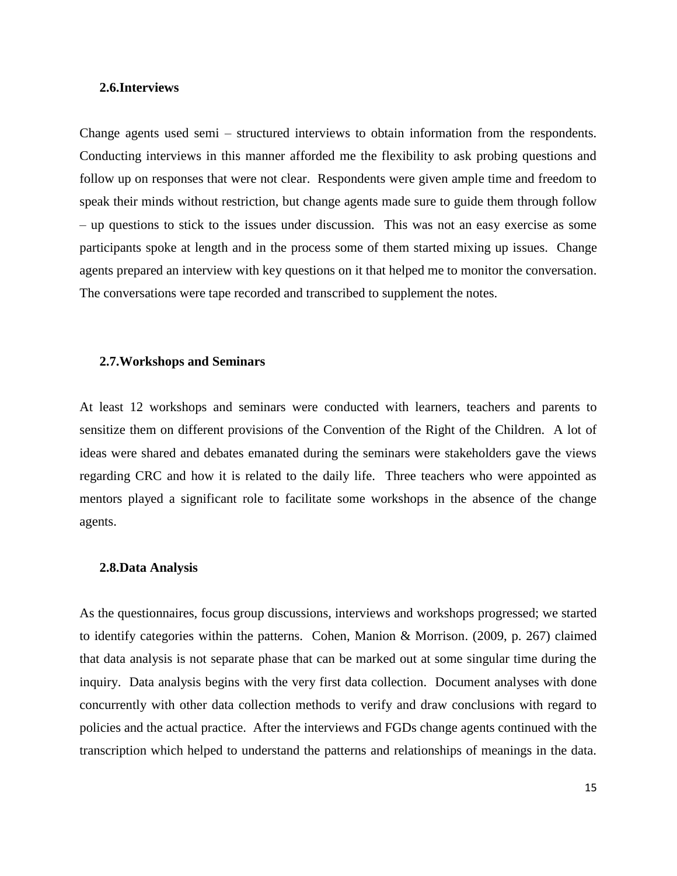#### **2.6.Interviews**

Change agents used semi – structured interviews to obtain information from the respondents. Conducting interviews in this manner afforded me the flexibility to ask probing questions and follow up on responses that were not clear. Respondents were given ample time and freedom to speak their minds without restriction, but change agents made sure to guide them through follow – up questions to stick to the issues under discussion. This was not an easy exercise as some participants spoke at length and in the process some of them started mixing up issues. Change agents prepared an interview with key questions on it that helped me to monitor the conversation. The conversations were tape recorded and transcribed to supplement the notes.

#### **2.7.Workshops and Seminars**

At least 12 workshops and seminars were conducted with learners, teachers and parents to sensitize them on different provisions of the Convention of the Right of the Children. A lot of ideas were shared and debates emanated during the seminars were stakeholders gave the views regarding CRC and how it is related to the daily life. Three teachers who were appointed as mentors played a significant role to facilitate some workshops in the absence of the change agents.

#### **2.8.Data Analysis**

As the questionnaires, focus group discussions, interviews and workshops progressed; we started to identify categories within the patterns. Cohen, Manion & Morrison. (2009, p. 267) claimed that data analysis is not separate phase that can be marked out at some singular time during the inquiry. Data analysis begins with the very first data collection. Document analyses with done concurrently with other data collection methods to verify and draw conclusions with regard to policies and the actual practice. After the interviews and FGDs change agents continued with the transcription which helped to understand the patterns and relationships of meanings in the data.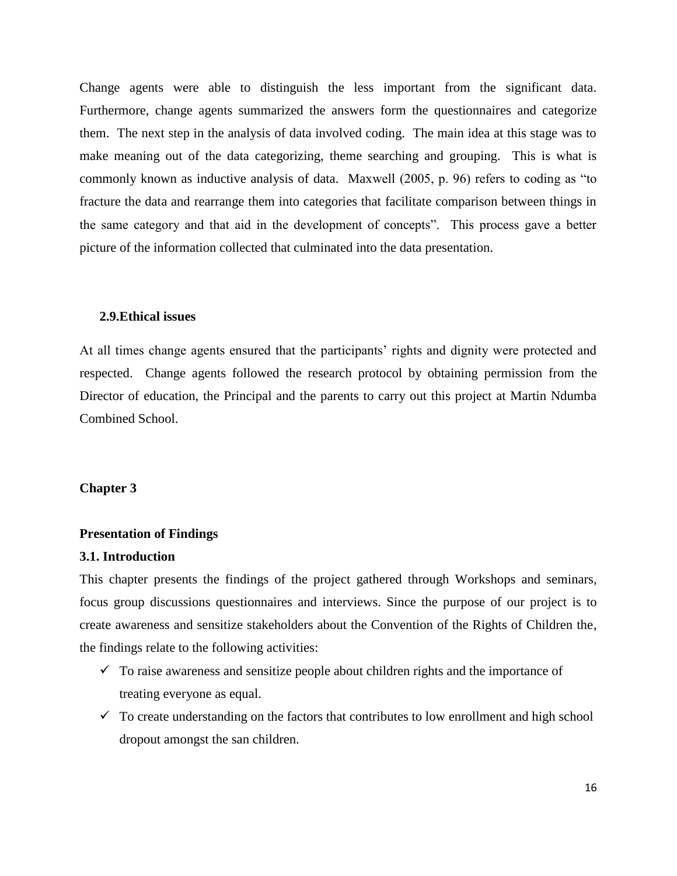Change agents were able to distinguish the less important from the significant data. Furthermore, change agents summarized the answers form the questionnaires and categorize them. The next step in the analysis of data involved coding. The main idea at this stage was to make meaning out of the data categorizing, theme searching and grouping. This is what is commonly known as inductive analysis of data. Maxwell (2005, p. 96) refers to coding as "to fracture the data and rearrange them into categories that facilitate comparison between things in the same category and that aid in the development of concepts". This process gave a better picture of the information collected that culminated into the data presentation.

#### **2.9.Ethical issues**

At all times change agents ensured that the participants' rights and dignity were protected and respected. Change agents followed the research protocol by obtaining permission from the Director of education, the Principal and the parents to carry out this project at Martin Ndumba Combined School.

#### **Chapter 3**

#### **Presentation of Findings**

#### **3.1. Introduction**

This chapter presents the findings of the project gathered through Workshops and seminars, focus group discussions questionnaires and interviews. Since the purpose of our project is to create awareness and sensitize stakeholders about the Convention of the Rights of Children the, the findings relate to the following activities:

- $\checkmark$  To raise awareness and sensitize people about children rights and the importance of treating everyone as equal.
- $\checkmark$  To create understanding on the factors that contributes to low enrollment and high school dropout amongst the san children.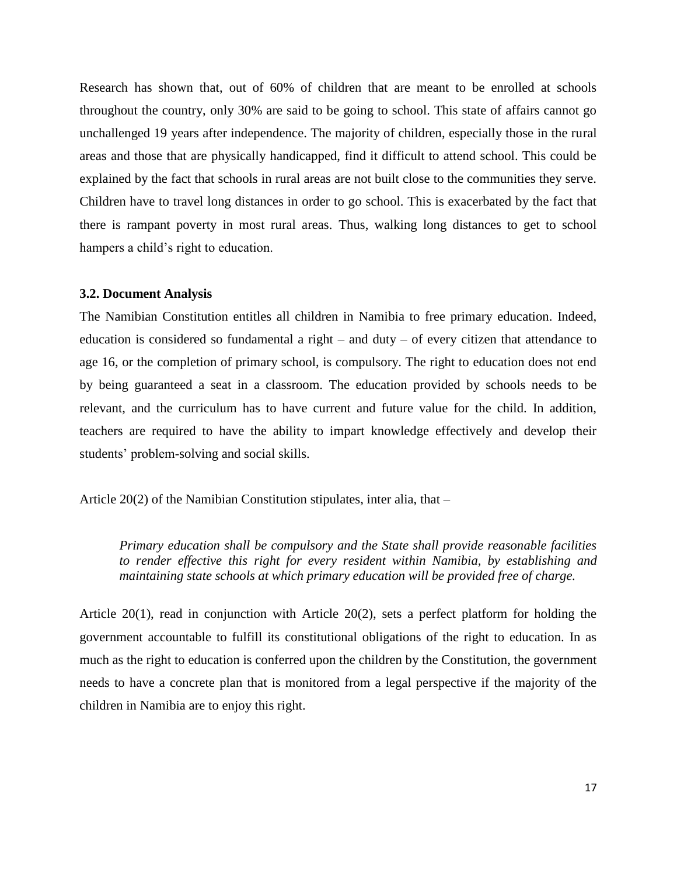Research has shown that, out of 60% of children that are meant to be enrolled at schools throughout the country, only 30% are said to be going to school. This state of affairs cannot go unchallenged 19 years after independence. The majority of children, especially those in the rural areas and those that are physically handicapped, find it difficult to attend school. This could be explained by the fact that schools in rural areas are not built close to the communities they serve. Children have to travel long distances in order to go school. This is exacerbated by the fact that there is rampant poverty in most rural areas. Thus, walking long distances to get to school hampers a child's right to education.

#### **3.2. Document Analysis**

The Namibian Constitution entitles all children in Namibia to free primary education. Indeed, education is considered so fundamental a right  $-$  and duty  $-$  of every citizen that attendance to age 16, or the completion of primary school, is compulsory. The right to education does not end by being guaranteed a seat in a classroom. The education provided by schools needs to be relevant, and the curriculum has to have current and future value for the child. In addition, teachers are required to have the ability to impart knowledge effectively and develop their students' problem-solving and social skills.

Article 20(2) of the Namibian Constitution stipulates, inter alia, that –

*Primary education shall be compulsory and the State shall provide reasonable facilities to render effective this right for every resident within Namibia, by establishing and maintaining state schools at which primary education will be provided free of charge.*

Article 20(1), read in conjunction with Article 20(2), sets a perfect platform for holding the government accountable to fulfill its constitutional obligations of the right to education. In as much as the right to education is conferred upon the children by the Constitution, the government needs to have a concrete plan that is monitored from a legal perspective if the majority of the children in Namibia are to enjoy this right.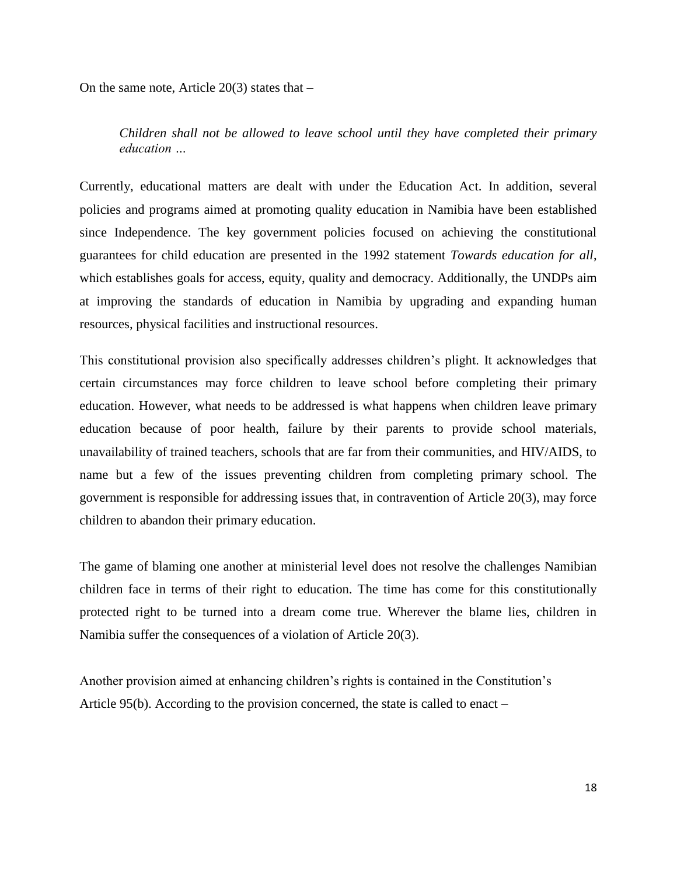On the same note, Article  $20(3)$  states that  $-$ 

*Children shall not be allowed to leave school until they have completed their primary education …*

Currently, educational matters are dealt with under the Education Act. In addition, several policies and programs aimed at promoting quality education in Namibia have been established since Independence. The key government policies focused on achieving the constitutional guarantees for child education are presented in the 1992 statement *Towards education for all*, which establishes goals for access, equity, quality and democracy. Additionally, the UNDPs aim at improving the standards of education in Namibia by upgrading and expanding human resources, physical facilities and instructional resources.

This constitutional provision also specifically addresses children's plight. It acknowledges that certain circumstances may force children to leave school before completing their primary education. However, what needs to be addressed is what happens when children leave primary education because of poor health, failure by their parents to provide school materials, unavailability of trained teachers, schools that are far from their communities, and HIV/AIDS, to name but a few of the issues preventing children from completing primary school. The government is responsible for addressing issues that, in contravention of Article 20(3), may force children to abandon their primary education.

The game of blaming one another at ministerial level does not resolve the challenges Namibian children face in terms of their right to education. The time has come for this constitutionally protected right to be turned into a dream come true. Wherever the blame lies, children in Namibia suffer the consequences of a violation of Article 20(3).

Another provision aimed at enhancing children's rights is contained in the Constitution's Article 95(b). According to the provision concerned, the state is called to enact –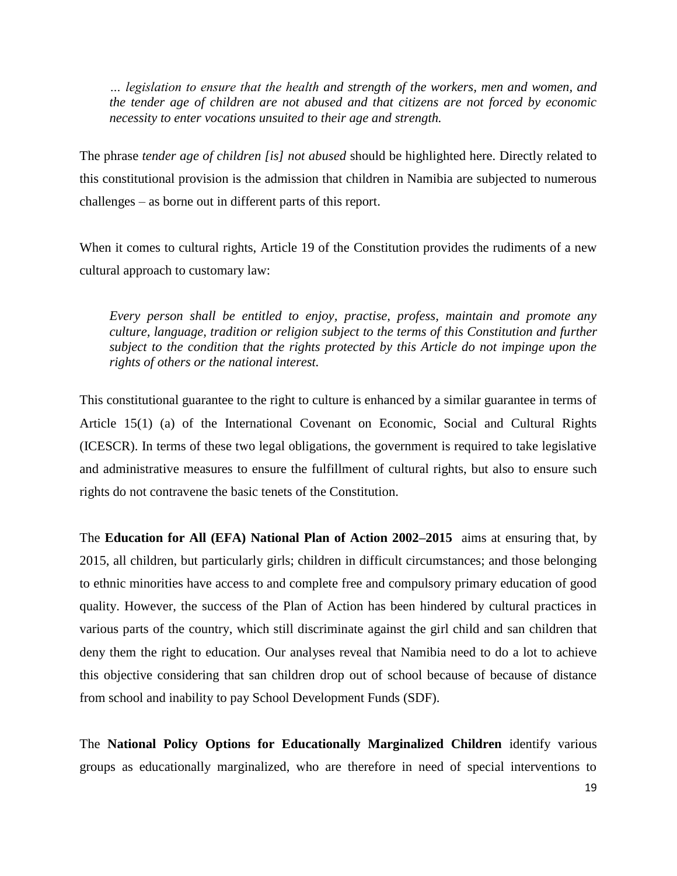*… legislation to ensure that the health and strength of the workers, men and women, and the tender age of children are not abused and that citizens are not forced by economic necessity to enter vocations unsuited to their age and strength.*

The phrase *tender age of children [is] not abused* should be highlighted here. Directly related to this constitutional provision is the admission that children in Namibia are subjected to numerous challenges – as borne out in different parts of this report.

When it comes to cultural rights, Article 19 of the Constitution provides the rudiments of a new cultural approach to customary law:

*Every person shall be entitled to enjoy, practise, profess, maintain and promote any culture, language, tradition or religion subject to the terms of this Constitution and further subject to the condition that the rights protected by this Article do not impinge upon the rights of others or the national interest.*

This constitutional guarantee to the right to culture is enhanced by a similar guarantee in terms of Article 15(1) (a) of the International Covenant on Economic, Social and Cultural Rights (ICESCR). In terms of these two legal obligations, the government is required to take legislative and administrative measures to ensure the fulfillment of cultural rights, but also to ensure such rights do not contravene the basic tenets of the Constitution.

The **Education for All (EFA) National Plan of Action 2002–2015** aims at ensuring that, by 2015, all children, but particularly girls; children in difficult circumstances; and those belonging to ethnic minorities have access to and complete free and compulsory primary education of good quality. However, the success of the Plan of Action has been hindered by cultural practices in various parts of the country, which still discriminate against the girl child and san children that deny them the right to education. Our analyses reveal that Namibia need to do a lot to achieve this objective considering that san children drop out of school because of because of distance from school and inability to pay School Development Funds (SDF).

The **National Policy Options for Educationally Marginalized Children** identify various groups as educationally marginalized, who are therefore in need of special interventions to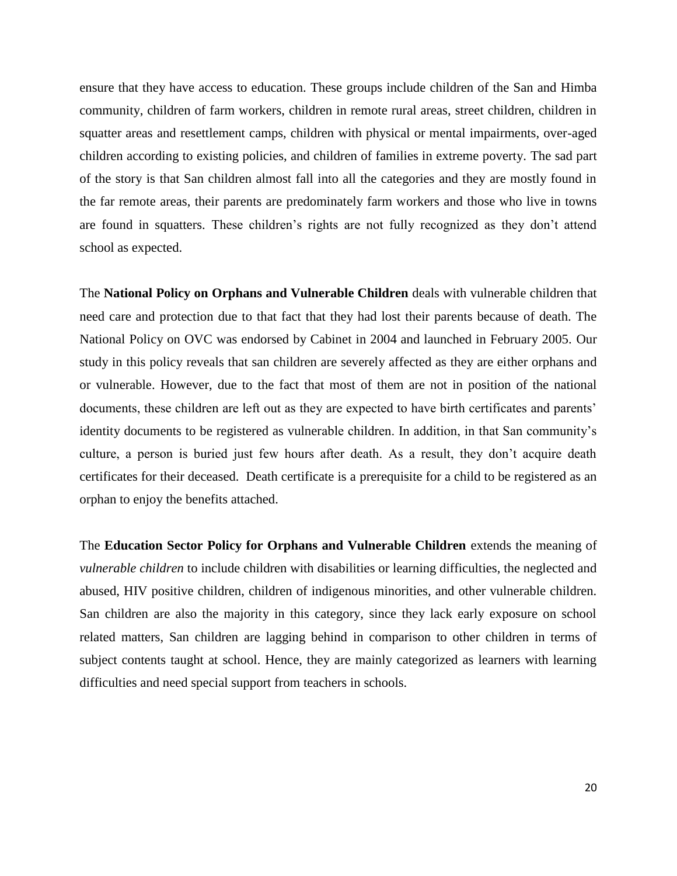ensure that they have access to education. These groups include children of the San and Himba community, children of farm workers, children in remote rural areas, street children, children in squatter areas and resettlement camps, children with physical or mental impairments, over-aged children according to existing policies, and children of families in extreme poverty. The sad part of the story is that San children almost fall into all the categories and they are mostly found in the far remote areas, their parents are predominately farm workers and those who live in towns are found in squatters. These children's rights are not fully recognized as they don't attend school as expected.

The **National Policy on Orphans and Vulnerable Children** deals with vulnerable children that need care and protection due to that fact that they had lost their parents because of death. The National Policy on OVC was endorsed by Cabinet in 2004 and launched in February 2005. Our study in this policy reveals that san children are severely affected as they are either orphans and or vulnerable. However, due to the fact that most of them are not in position of the national documents, these children are left out as they are expected to have birth certificates and parents' identity documents to be registered as vulnerable children. In addition, in that San community's culture, a person is buried just few hours after death. As a result, they don't acquire death certificates for their deceased. Death certificate is a prerequisite for a child to be registered as an orphan to enjoy the benefits attached.

The **Education Sector Policy for Orphans and Vulnerable Children** extends the meaning of *vulnerable children* to include children with disabilities or learning difficulties, the neglected and abused, HIV positive children, children of indigenous minorities, and other vulnerable children. San children are also the majority in this category, since they lack early exposure on school related matters, San children are lagging behind in comparison to other children in terms of subject contents taught at school. Hence, they are mainly categorized as learners with learning difficulties and need special support from teachers in schools.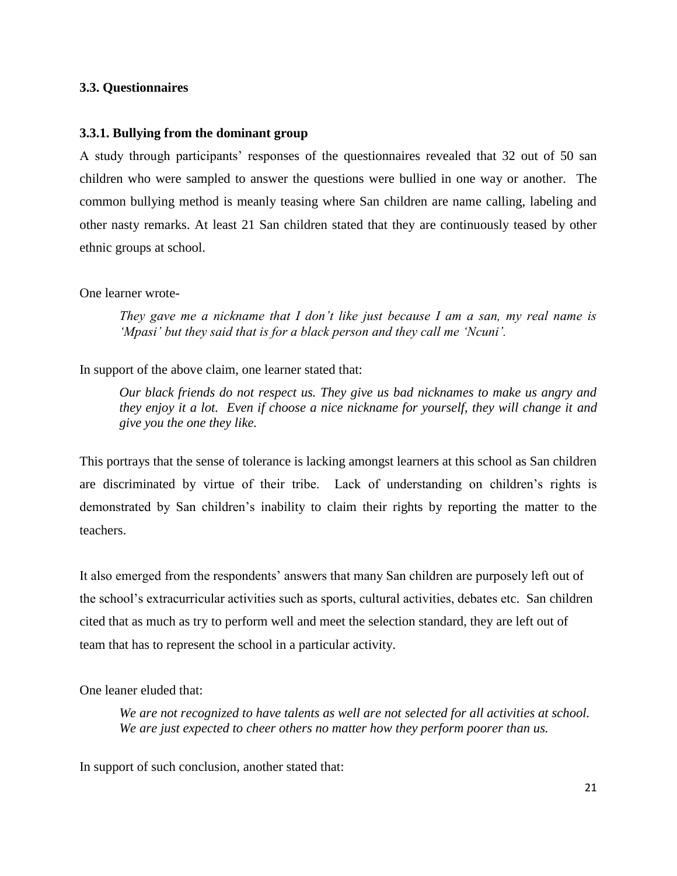#### **3.3. Questionnaires**

#### **3.3.1. Bullying from the dominant group**

A study through participants' responses of the questionnaires revealed that 32 out of 50 san children who were sampled to answer the questions were bullied in one way or another. The common bullying method is meanly teasing where San children are name calling, labeling and other nasty remarks. At least 21 San children stated that they are continuously teased by other ethnic groups at school.

#### One learner wrote-

*They gave me a nickname that I don't like just because I am a san, my real name is 'Mpasi' but they said that is for a black person and they call me 'Ncuni'.*

In support of the above claim, one learner stated that:

*Our black friends do not respect us. They give us bad nicknames to make us angry and they enjoy it a lot. Even if choose a nice nickname for yourself, they will change it and give you the one they like.*

This portrays that the sense of tolerance is lacking amongst learners at this school as San children are discriminated by virtue of their tribe. Lack of understanding on children's rights is demonstrated by San children's inability to claim their rights by reporting the matter to the teachers.

It also emerged from the respondents' answers that many San children are purposely left out of the school's extracurricular activities such as sports, cultural activities, debates etc. San children cited that as much as try to perform well and meet the selection standard, they are left out of team that has to represent the school in a particular activity.

One leaner eluded that:

*We are not recognized to have talents as well are not selected for all activities at school. We are just expected to cheer others no matter how they perform poorer than us.* 

In support of such conclusion, another stated that: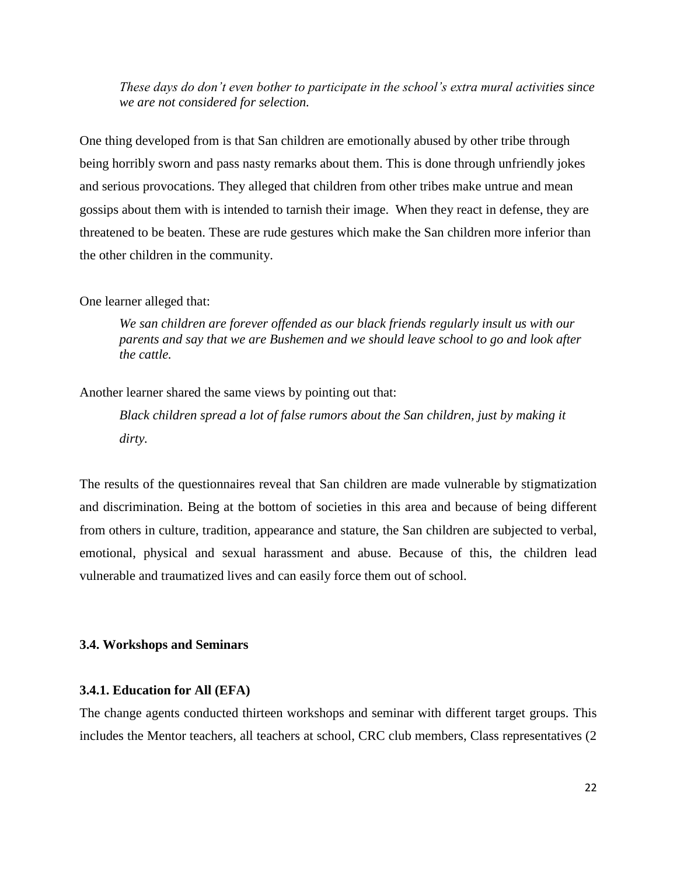*These days do don't even bother to participate in the school's extra mural activities since we are not considered for selection.*

One thing developed from is that San children are emotionally abused by other tribe through being horribly sworn and pass nasty remarks about them. This is done through unfriendly jokes and serious provocations. They alleged that children from other tribes make untrue and mean gossips about them with is intended to tarnish their image. When they react in defense, they are threatened to be beaten. These are rude gestures which make the San children more inferior than the other children in the community.

#### One learner alleged that:

*We san children are forever offended as our black friends regularly insult us with our parents and say that we are Bushemen and we should leave school to go and look after the cattle.* 

Another learner shared the same views by pointing out that:

*Black children spread a lot of false rumors about the San children, just by making it dirty.* 

The results of the questionnaires reveal that San children are made vulnerable by stigmatization and discrimination. Being at the bottom of societies in this area and because of being different from others in culture, tradition, appearance and stature, the San children are subjected to verbal, emotional, physical and sexual harassment and abuse. Because of this, the children lead vulnerable and traumatized lives and can easily force them out of school.

#### **3.4. Workshops and Seminars**

#### **3.4.1. Education for All (EFA)**

The change agents conducted thirteen workshops and seminar with different target groups. This includes the Mentor teachers, all teachers at school, CRC club members, Class representatives (2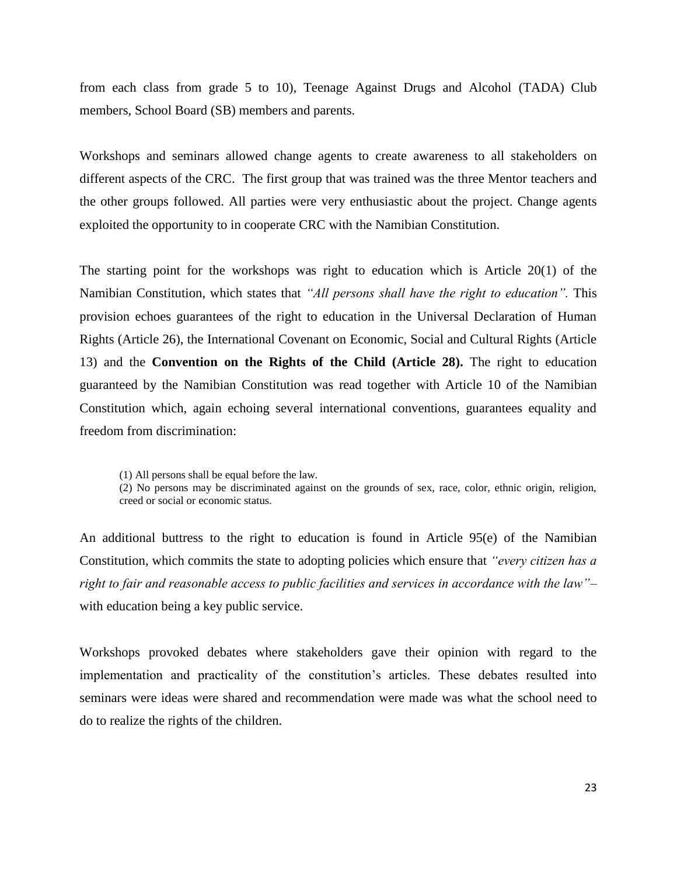from each class from grade 5 to 10), Teenage Against Drugs and Alcohol (TADA) Club members, School Board (SB) members and parents.

Workshops and seminars allowed change agents to create awareness to all stakeholders on different aspects of the CRC. The first group that was trained was the three Mentor teachers and the other groups followed. All parties were very enthusiastic about the project. Change agents exploited the opportunity to in cooperate CRC with the Namibian Constitution.

The starting point for the workshops was right to education which is Article 20(1) of the Namibian Constitution, which states that *"All persons shall have the right to education".* This provision echoes guarantees of the right to education in the Universal Declaration of Human Rights (Article 26), the International Covenant on Economic, Social and Cultural Rights (Article 13) and the **Convention on the Rights of the Child (Article 28).** The right to education guaranteed by the Namibian Constitution was read together with Article 10 of the Namibian Constitution which, again echoing several international conventions, guarantees equality and freedom from discrimination:

(1) All persons shall be equal before the law.

(2) No persons may be discriminated against on the grounds of sex, race, color, ethnic origin, religion, creed or social or economic status.

An additional buttress to the right to education is found in Article 95(e) of the Namibian Constitution, which commits the state to adopting policies which ensure that *"every citizen has a right to fair and reasonable access to public facilities and services in accordance with the law"–* with education being a key public service.

Workshops provoked debates where stakeholders gave their opinion with regard to the implementation and practicality of the constitution's articles. These debates resulted into seminars were ideas were shared and recommendation were made was what the school need to do to realize the rights of the children.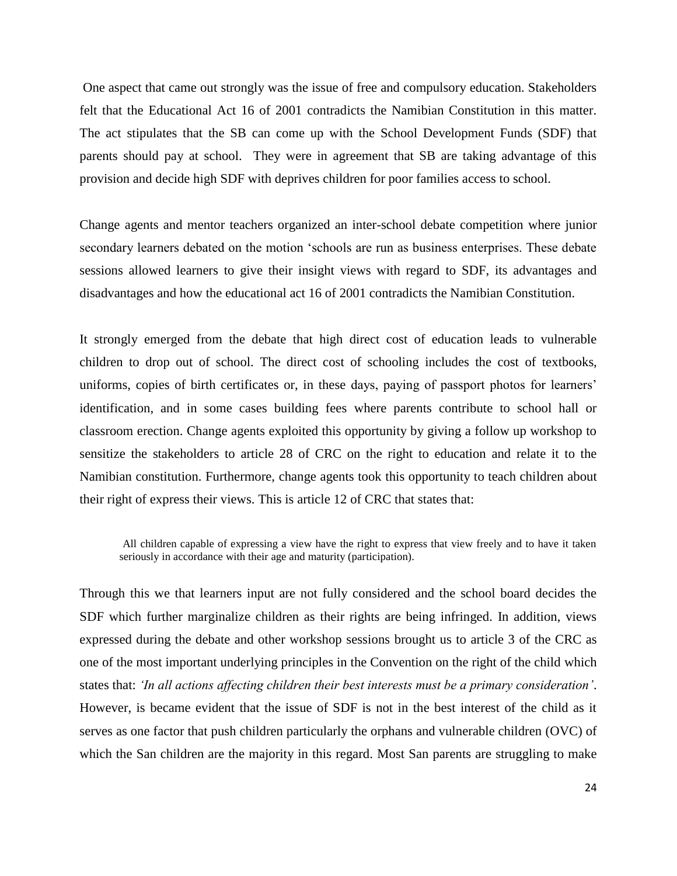One aspect that came out strongly was the issue of free and compulsory education. Stakeholders felt that the Educational Act 16 of 2001 contradicts the Namibian Constitution in this matter. The act stipulates that the SB can come up with the School Development Funds (SDF) that parents should pay at school. They were in agreement that SB are taking advantage of this provision and decide high SDF with deprives children for poor families access to school.

Change agents and mentor teachers organized an inter-school debate competition where junior secondary learners debated on the motion 'schools are run as business enterprises. These debate sessions allowed learners to give their insight views with regard to SDF, its advantages and disadvantages and how the educational act 16 of 2001 contradicts the Namibian Constitution.

It strongly emerged from the debate that high direct cost of education leads to vulnerable children to drop out of school. The direct cost of schooling includes the cost of textbooks, uniforms, copies of birth certificates or, in these days, paying of passport photos for learners' identification, and in some cases building fees where parents contribute to school hall or classroom erection. Change agents exploited this opportunity by giving a follow up workshop to sensitize the stakeholders to article 28 of CRC on the right to education and relate it to the Namibian constitution. Furthermore, change agents took this opportunity to teach children about their right of express their views. This is article 12 of CRC that states that:

All children capable of expressing a view have the right to express that view freely and to have it taken seriously in accordance with their age and maturity (participation).

Through this we that learners input are not fully considered and the school board decides the SDF which further marginalize children as their rights are being infringed. In addition, views expressed during the debate and other workshop sessions brought us to article 3 of the CRC as one of the most important underlying principles in the Convention on the right of the child which states that: *'In all actions affecting children their best interests must be a primary consideration'*. However, is became evident that the issue of SDF is not in the best interest of the child as it serves as one factor that push children particularly the orphans and vulnerable children (OVC) of which the San children are the majority in this regard. Most San parents are struggling to make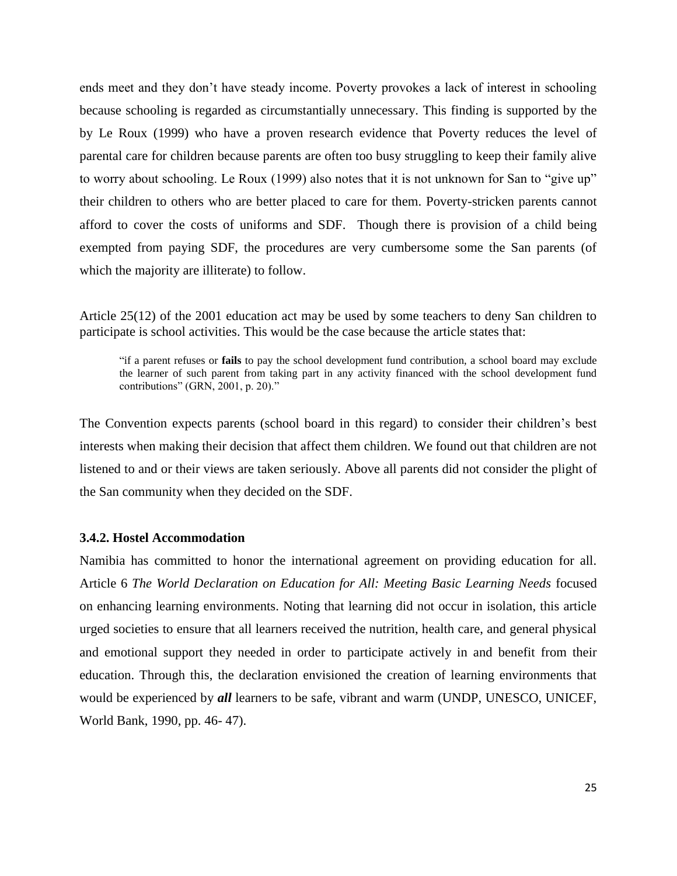ends meet and they don't have steady income. Poverty provokes a lack of interest in schooling because schooling is regarded as circumstantially unnecessary. This finding is supported by the by Le Roux (1999) who have a proven research evidence that Poverty reduces the level of parental care for children because parents are often too busy struggling to keep their family alive to worry about schooling. Le Roux (1999) also notes that it is not unknown for San to "give up" their children to others who are better placed to care for them. Poverty-stricken parents cannot afford to cover the costs of uniforms and SDF. Though there is provision of a child being exempted from paying SDF, the procedures are very cumbersome some the San parents (of which the majority are illiterate) to follow.

Article 25(12) of the 2001 education act may be used by some teachers to deny San children to participate is school activities. This would be the case because the article states that:

"if a parent refuses or **fails** to pay the school development fund contribution, a school board may exclude the learner of such parent from taking part in any activity financed with the school development fund contributions" (GRN, 2001, p. 20)."

The Convention expects parents (school board in this regard) to consider their children's best interests when making their decision that affect them children. We found out that children are not listened to and or their views are taken seriously. Above all parents did not consider the plight of the San community when they decided on the SDF.

#### **3.4.2. Hostel Accommodation**

Namibia has committed to honor the international agreement on providing education for all. Article 6 *The World Declaration on Education for All: Meeting Basic Learning Needs* focused on enhancing learning environments. Noting that learning did not occur in isolation, this article urged societies to ensure that all learners received the nutrition, health care, and general physical and emotional support they needed in order to participate actively in and benefit from their education. Through this, the declaration envisioned the creation of learning environments that would be experienced by *all* learners to be safe, vibrant and warm (UNDP, UNESCO, UNICEF, World Bank, 1990, pp. 46- 47).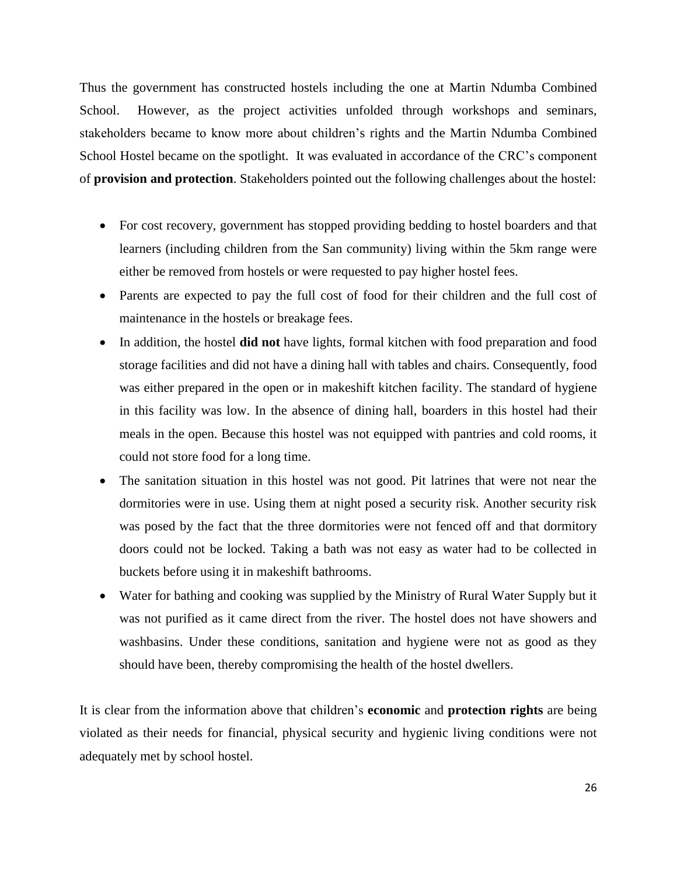Thus the government has constructed hostels including the one at Martin Ndumba Combined School. However, as the project activities unfolded through workshops and seminars, stakeholders became to know more about children's rights and the Martin Ndumba Combined School Hostel became on the spotlight. It was evaluated in accordance of the CRC's component of **provision and protection**. Stakeholders pointed out the following challenges about the hostel:

- For cost recovery, government has stopped providing bedding to hostel boarders and that learners (including children from the San community) living within the 5km range were either be removed from hostels or were requested to pay higher hostel fees.
- Parents are expected to pay the full cost of food for their children and the full cost of maintenance in the hostels or breakage fees.
- In addition, the hostel **did not** have lights, formal kitchen with food preparation and food storage facilities and did not have a dining hall with tables and chairs. Consequently, food was either prepared in the open or in makeshift kitchen facility. The standard of hygiene in this facility was low. In the absence of dining hall, boarders in this hostel had their meals in the open. Because this hostel was not equipped with pantries and cold rooms, it could not store food for a long time.
- The sanitation situation in this hostel was not good. Pit latrines that were not near the dormitories were in use. Using them at night posed a security risk. Another security risk was posed by the fact that the three dormitories were not fenced off and that dormitory doors could not be locked. Taking a bath was not easy as water had to be collected in buckets before using it in makeshift bathrooms.
- Water for bathing and cooking was supplied by the Ministry of Rural Water Supply but it was not purified as it came direct from the river. The hostel does not have showers and washbasins. Under these conditions, sanitation and hygiene were not as good as they should have been, thereby compromising the health of the hostel dwellers.

It is clear from the information above that children's **economic** and **protection rights** are being violated as their needs for financial, physical security and hygienic living conditions were not adequately met by school hostel.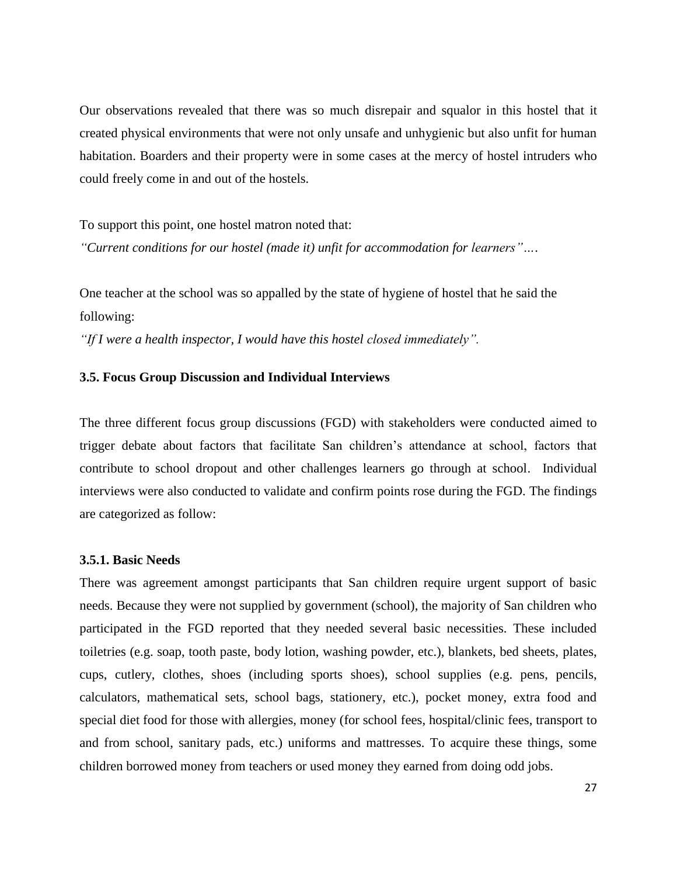Our observations revealed that there was so much disrepair and squalor in this hostel that it created physical environments that were not only unsafe and unhygienic but also unfit for human habitation. Boarders and their property were in some cases at the mercy of hostel intruders who could freely come in and out of the hostels.

To support this point, one hostel matron noted that: *"Current conditions for our hostel (made it) unfit for accommodation for learners"…*.

One teacher at the school was so appalled by the state of hygiene of hostel that he said the following:

*"If I were a health inspector, I would have this hostel closed immediately".*

#### **3.5. Focus Group Discussion and Individual Interviews**

The three different focus group discussions (FGD) with stakeholders were conducted aimed to trigger debate about factors that facilitate San children's attendance at school, factors that contribute to school dropout and other challenges learners go through at school. Individual interviews were also conducted to validate and confirm points rose during the FGD. The findings are categorized as follow:

#### **3.5.1. Basic Needs**

There was agreement amongst participants that San children require urgent support of basic needs. Because they were not supplied by government (school), the majority of San children who participated in the FGD reported that they needed several basic necessities. These included toiletries (e.g. soap, tooth paste, body lotion, washing powder, etc.), blankets, bed sheets, plates, cups, cutlery, clothes, shoes (including sports shoes), school supplies (e.g. pens, pencils, calculators, mathematical sets, school bags, stationery, etc.), pocket money, extra food and special diet food for those with allergies, money (for school fees, hospital/clinic fees, transport to and from school, sanitary pads, etc.) uniforms and mattresses. To acquire these things, some children borrowed money from teachers or used money they earned from doing odd jobs.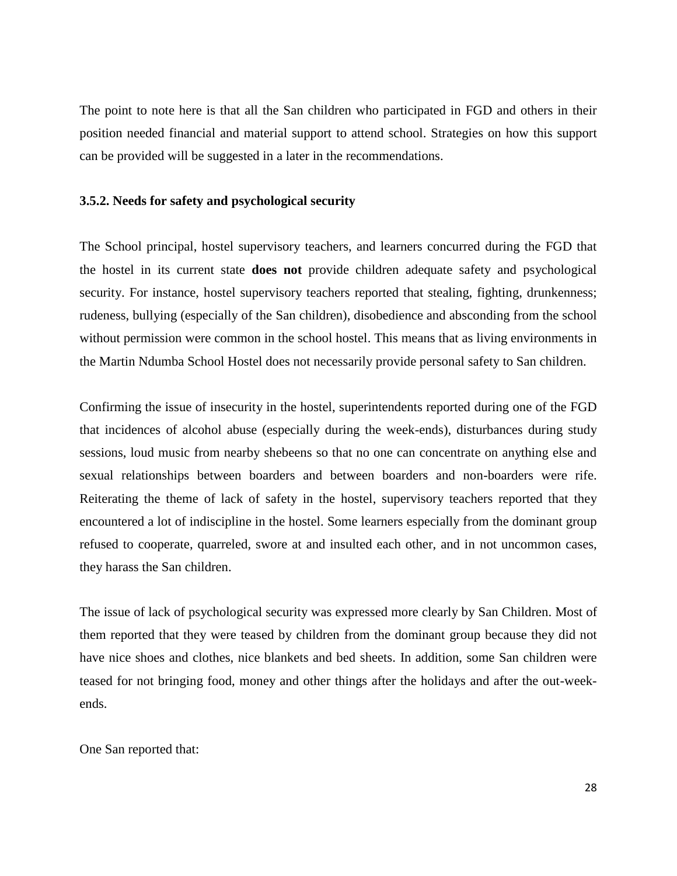The point to note here is that all the San children who participated in FGD and others in their position needed financial and material support to attend school. Strategies on how this support can be provided will be suggested in a later in the recommendations.

#### **3.5.2. Needs for safety and psychological security**

The School principal, hostel supervisory teachers, and learners concurred during the FGD that the hostel in its current state **does not** provide children adequate safety and psychological security. For instance, hostel supervisory teachers reported that stealing, fighting, drunkenness; rudeness, bullying (especially of the San children), disobedience and absconding from the school without permission were common in the school hostel. This means that as living environments in the Martin Ndumba School Hostel does not necessarily provide personal safety to San children.

Confirming the issue of insecurity in the hostel, superintendents reported during one of the FGD that incidences of alcohol abuse (especially during the week-ends), disturbances during study sessions, loud music from nearby shebeens so that no one can concentrate on anything else and sexual relationships between boarders and between boarders and non-boarders were rife. Reiterating the theme of lack of safety in the hostel, supervisory teachers reported that they encountered a lot of indiscipline in the hostel. Some learners especially from the dominant group refused to cooperate, quarreled, swore at and insulted each other, and in not uncommon cases, they harass the San children.

The issue of lack of psychological security was expressed more clearly by San Children. Most of them reported that they were teased by children from the dominant group because they did not have nice shoes and clothes, nice blankets and bed sheets. In addition, some San children were teased for not bringing food, money and other things after the holidays and after the out-weekends.

One San reported that: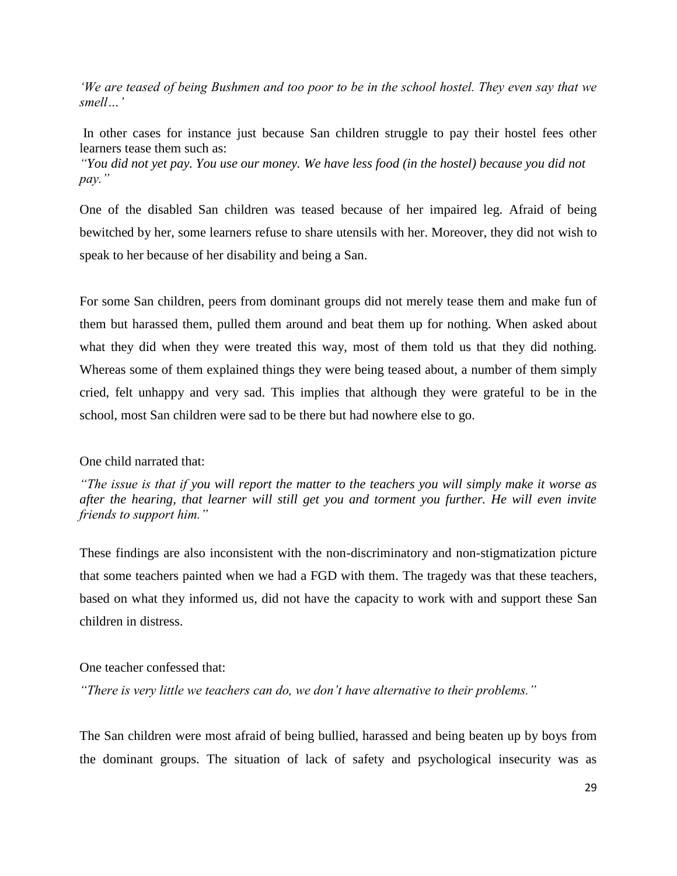*'We are teased of being Bushmen and too poor to be in the school hostel. They even say that we smell…'*

In other cases for instance just because San children struggle to pay their hostel fees other learners tease them such as:

*"You did not yet pay. You use our money. We have less food (in the hostel) because you did not pay."*

One of the disabled San children was teased because of her impaired leg. Afraid of being bewitched by her, some learners refuse to share utensils with her. Moreover, they did not wish to speak to her because of her disability and being a San.

For some San children, peers from dominant groups did not merely tease them and make fun of them but harassed them, pulled them around and beat them up for nothing. When asked about what they did when they were treated this way, most of them told us that they did nothing. Whereas some of them explained things they were being teased about, a number of them simply cried, felt unhappy and very sad. This implies that although they were grateful to be in the school, most San children were sad to be there but had nowhere else to go.

#### One child narrated that:

*"The issue is that if you will report the matter to the teachers you will simply make it worse as after the hearing, that learner will still get you and torment you further. He will even invite friends to support him."*

These findings are also inconsistent with the non-discriminatory and non-stigmatization picture that some teachers painted when we had a FGD with them. The tragedy was that these teachers, based on what they informed us, did not have the capacity to work with and support these San children in distress.

#### One teacher confessed that:

*"There is very little we teachers can do, we don't have alternative to their problems."*

The San children were most afraid of being bullied, harassed and being beaten up by boys from the dominant groups. The situation of lack of safety and psychological insecurity was as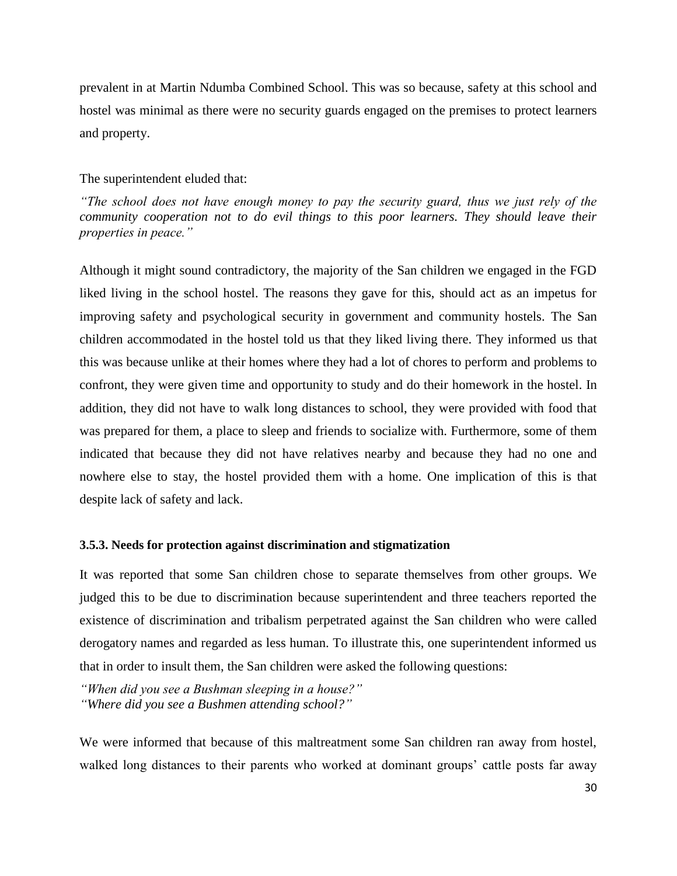prevalent in at Martin Ndumba Combined School. This was so because, safety at this school and hostel was minimal as there were no security guards engaged on the premises to protect learners and property.

#### The superintendent eluded that:

*"The school does not have enough money to pay the security guard, thus we just rely of the community cooperation not to do evil things to this poor learners. They should leave their properties in peace."*

Although it might sound contradictory, the majority of the San children we engaged in the FGD liked living in the school hostel. The reasons they gave for this, should act as an impetus for improving safety and psychological security in government and community hostels. The San children accommodated in the hostel told us that they liked living there. They informed us that this was because unlike at their homes where they had a lot of chores to perform and problems to confront, they were given time and opportunity to study and do their homework in the hostel. In addition, they did not have to walk long distances to school, they were provided with food that was prepared for them, a place to sleep and friends to socialize with. Furthermore, some of them indicated that because they did not have relatives nearby and because they had no one and nowhere else to stay, the hostel provided them with a home. One implication of this is that despite lack of safety and lack.

#### **3.5.3. Needs for protection against discrimination and stigmatization**

It was reported that some San children chose to separate themselves from other groups. We judged this to be due to discrimination because superintendent and three teachers reported the existence of discrimination and tribalism perpetrated against the San children who were called derogatory names and regarded as less human. To illustrate this, one superintendent informed us that in order to insult them, the San children were asked the following questions:

*"When did you see a Bushman sleeping in a house?" "Where did you see a Bushmen attending school?"*

We were informed that because of this maltreatment some San children ran away from hostel, walked long distances to their parents who worked at dominant groups' cattle posts far away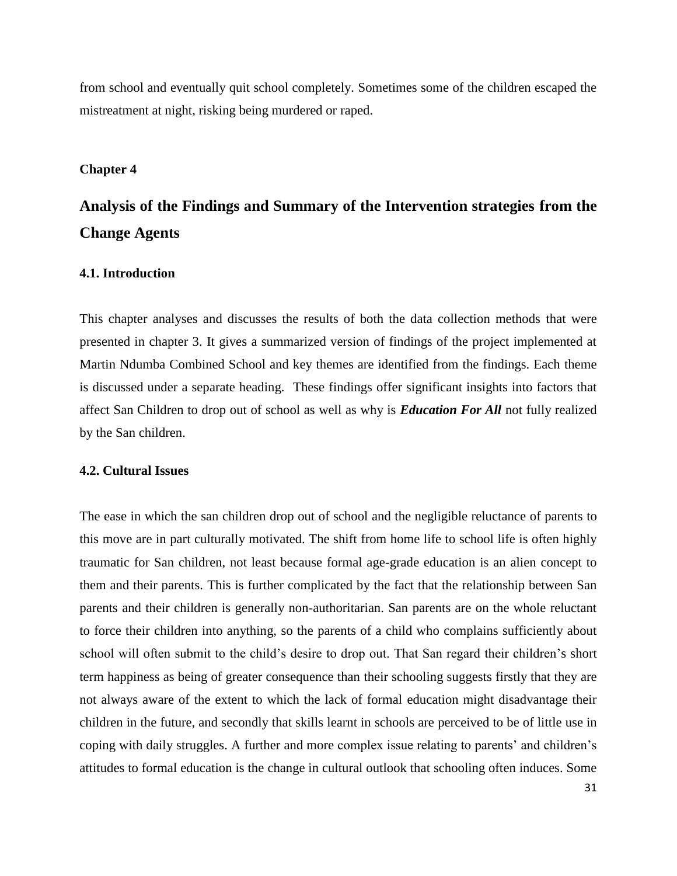from school and eventually quit school completely. Sometimes some of the children escaped the mistreatment at night, risking being murdered or raped.

#### **Chapter 4**

# **Analysis of the Findings and Summary of the Intervention strategies from the Change Agents**

#### **4.1. Introduction**

This chapter analyses and discusses the results of both the data collection methods that were presented in chapter 3. It gives a summarized version of findings of the project implemented at Martin Ndumba Combined School and key themes are identified from the findings. Each theme is discussed under a separate heading. These findings offer significant insights into factors that affect San Children to drop out of school as well as why is *Education For All* not fully realized by the San children.

#### **4.2. Cultural Issues**

The ease in which the san children drop out of school and the negligible reluctance of parents to this move are in part culturally motivated. The shift from home life to school life is often highly traumatic for San children, not least because formal age-grade education is an alien concept to them and their parents. This is further complicated by the fact that the relationship between San parents and their children is generally non-authoritarian. San parents are on the whole reluctant to force their children into anything, so the parents of a child who complains sufficiently about school will often submit to the child's desire to drop out. That San regard their children's short term happiness as being of greater consequence than their schooling suggests firstly that they are not always aware of the extent to which the lack of formal education might disadvantage their children in the future, and secondly that skills learnt in schools are perceived to be of little use in coping with daily struggles. A further and more complex issue relating to parents' and children's attitudes to formal education is the change in cultural outlook that schooling often induces. Some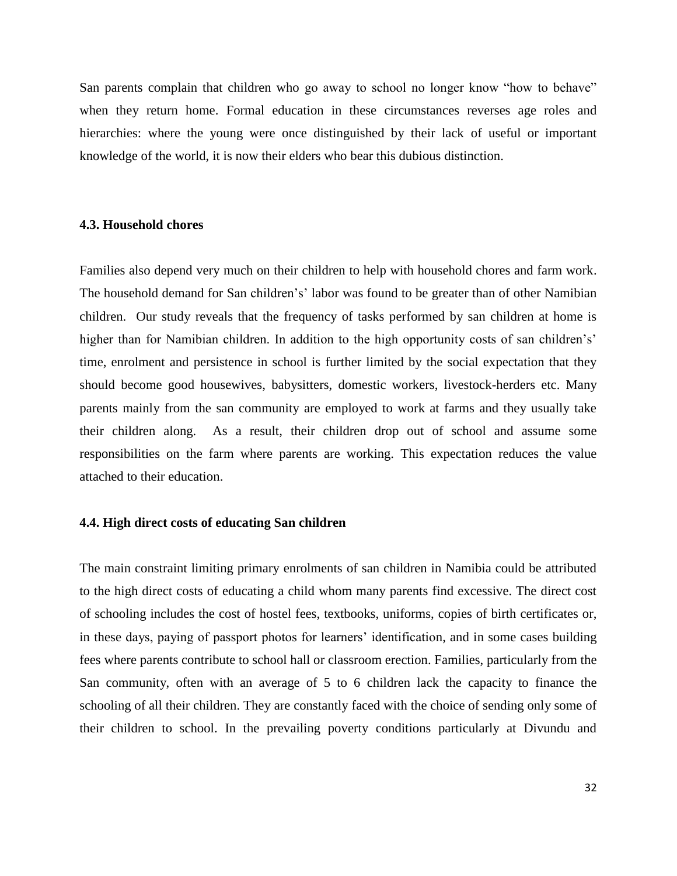San parents complain that children who go away to school no longer know "how to behave" when they return home. Formal education in these circumstances reverses age roles and hierarchies: where the young were once distinguished by their lack of useful or important knowledge of the world, it is now their elders who bear this dubious distinction.

#### **4.3. Household chores**

Families also depend very much on their children to help with household chores and farm work. The household demand for San children's' labor was found to be greater than of other Namibian children. Our study reveals that the frequency of tasks performed by san children at home is higher than for Namibian children. In addition to the high opportunity costs of san children's' time, enrolment and persistence in school is further limited by the social expectation that they should become good housewives, babysitters, domestic workers, livestock-herders etc. Many parents mainly from the san community are employed to work at farms and they usually take their children along. As a result, their children drop out of school and assume some responsibilities on the farm where parents are working. This expectation reduces the value attached to their education.

#### **4.4. High direct costs of educating San children**

The main constraint limiting primary enrolments of san children in Namibia could be attributed to the high direct costs of educating a child whom many parents find excessive. The direct cost of schooling includes the cost of hostel fees, textbooks, uniforms, copies of birth certificates or, in these days, paying of passport photos for learners' identification, and in some cases building fees where parents contribute to school hall or classroom erection. Families, particularly from the San community, often with an average of 5 to 6 children lack the capacity to finance the schooling of all their children. They are constantly faced with the choice of sending only some of their children to school. In the prevailing poverty conditions particularly at Divundu and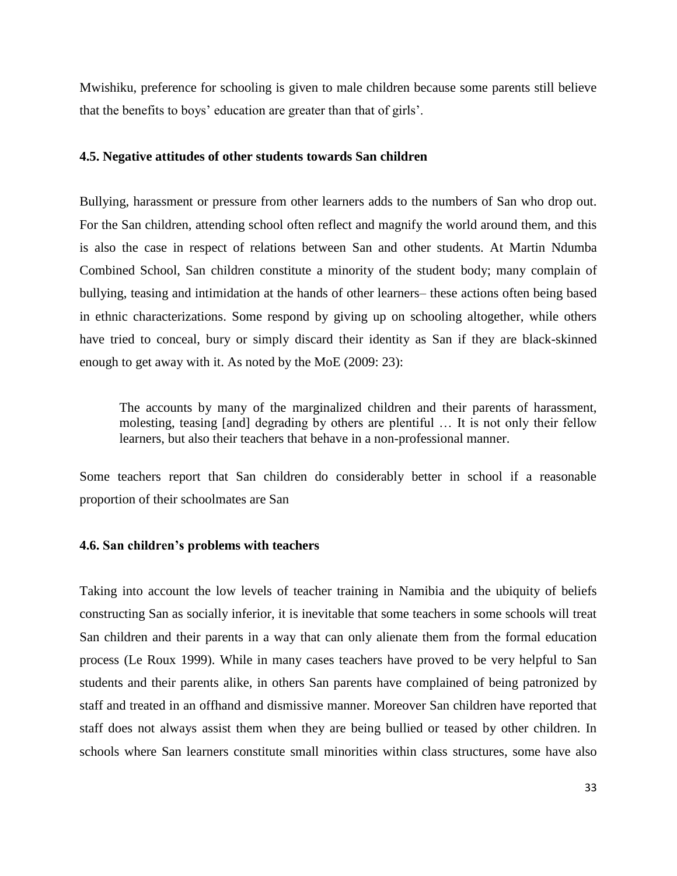Mwishiku, preference for schooling is given to male children because some parents still believe that the benefits to boys' education are greater than that of girls'.

#### **4.5. Negative attitudes of other students towards San children**

Bullying, harassment or pressure from other learners adds to the numbers of San who drop out. For the San children, attending school often reflect and magnify the world around them, and this is also the case in respect of relations between San and other students. At Martin Ndumba Combined School, San children constitute a minority of the student body; many complain of bullying, teasing and intimidation at the hands of other learners– these actions often being based in ethnic characterizations. Some respond by giving up on schooling altogether, while others have tried to conceal, bury or simply discard their identity as San if they are black-skinned enough to get away with it. As noted by the MoE (2009: 23):

The accounts by many of the marginalized children and their parents of harassment, molesting, teasing [and] degrading by others are plentiful … It is not only their fellow learners, but also their teachers that behave in a non-professional manner.

Some teachers report that San children do considerably better in school if a reasonable proportion of their schoolmates are San

#### **4.6. San children's problems with teachers**

Taking into account the low levels of teacher training in Namibia and the ubiquity of beliefs constructing San as socially inferior, it is inevitable that some teachers in some schools will treat San children and their parents in a way that can only alienate them from the formal education process (Le Roux 1999). While in many cases teachers have proved to be very helpful to San students and their parents alike, in others San parents have complained of being patronized by staff and treated in an offhand and dismissive manner. Moreover San children have reported that staff does not always assist them when they are being bullied or teased by other children. In schools where San learners constitute small minorities within class structures, some have also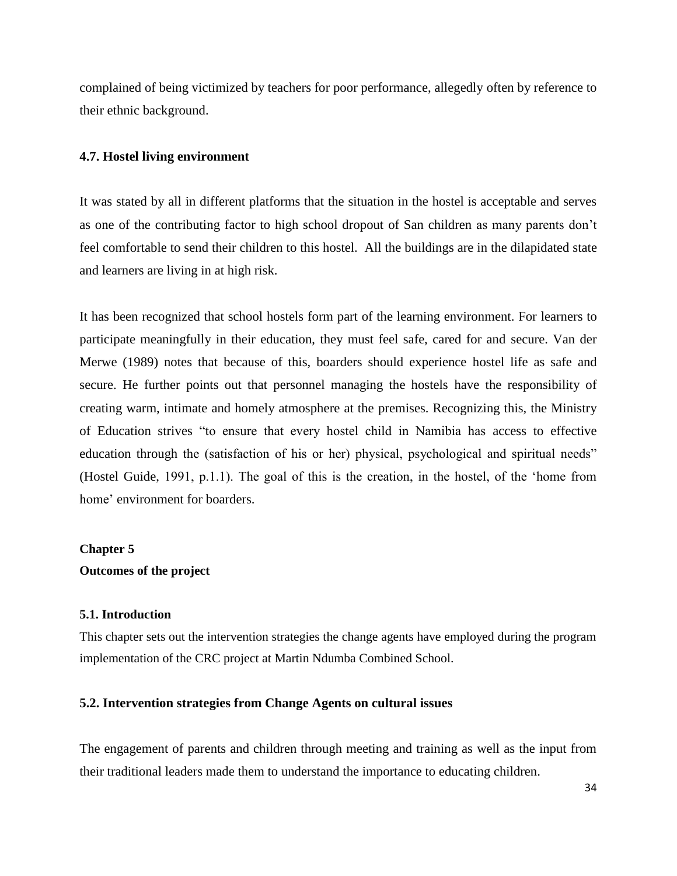complained of being victimized by teachers for poor performance, allegedly often by reference to their ethnic background.

#### **4.7. Hostel living environment**

It was stated by all in different platforms that the situation in the hostel is acceptable and serves as one of the contributing factor to high school dropout of San children as many parents don't feel comfortable to send their children to this hostel. All the buildings are in the dilapidated state and learners are living in at high risk.

It has been recognized that school hostels form part of the learning environment. For learners to participate meaningfully in their education, they must feel safe, cared for and secure. Van der Merwe (1989) notes that because of this, boarders should experience hostel life as safe and secure. He further points out that personnel managing the hostels have the responsibility of creating warm, intimate and homely atmosphere at the premises. Recognizing this, the Ministry of Education strives "to ensure that every hostel child in Namibia has access to effective education through the (satisfaction of his or her) physical, psychological and spiritual needs" (Hostel Guide, 1991, p.1.1). The goal of this is the creation, in the hostel, of the 'home from home' environment for boarders.

#### **Chapter 5**

#### **Outcomes of the project**

#### **5.1. Introduction**

This chapter sets out the intervention strategies the change agents have employed during the program implementation of the CRC project at Martin Ndumba Combined School.

#### **5.2. Intervention strategies from Change Agents on cultural issues**

The engagement of parents and children through meeting and training as well as the input from their traditional leaders made them to understand the importance to educating children.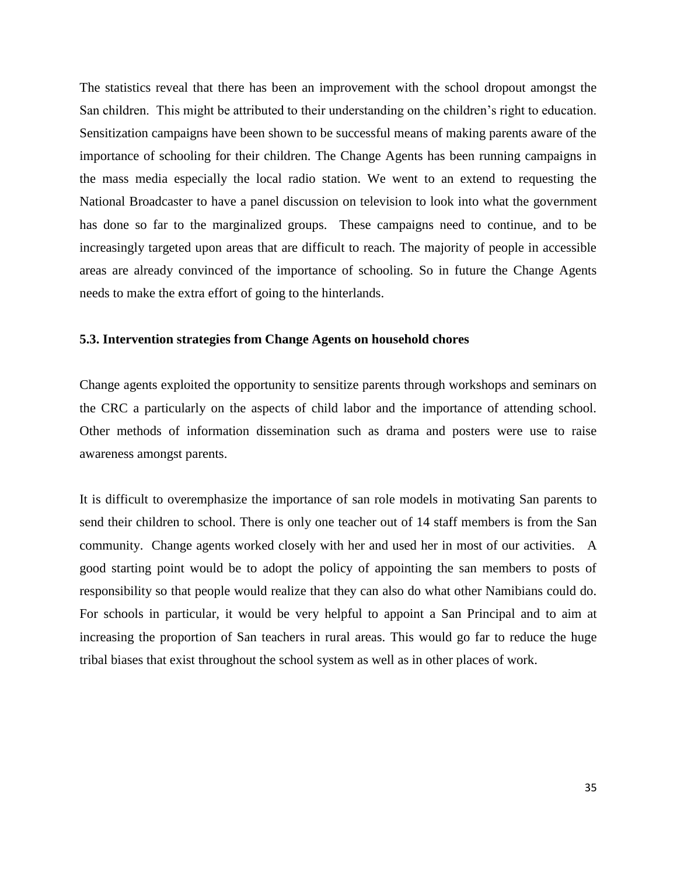The statistics reveal that there has been an improvement with the school dropout amongst the San children. This might be attributed to their understanding on the children's right to education. Sensitization campaigns have been shown to be successful means of making parents aware of the importance of schooling for their children. The Change Agents has been running campaigns in the mass media especially the local radio station. We went to an extend to requesting the National Broadcaster to have a panel discussion on television to look into what the government has done so far to the marginalized groups. These campaigns need to continue, and to be increasingly targeted upon areas that are difficult to reach. The majority of people in accessible areas are already convinced of the importance of schooling. So in future the Change Agents needs to make the extra effort of going to the hinterlands.

#### **5.3. Intervention strategies from Change Agents on household chores**

Change agents exploited the opportunity to sensitize parents through workshops and seminars on the CRC a particularly on the aspects of child labor and the importance of attending school. Other methods of information dissemination such as drama and posters were use to raise awareness amongst parents.

It is difficult to overemphasize the importance of san role models in motivating San parents to send their children to school. There is only one teacher out of 14 staff members is from the San community. Change agents worked closely with her and used her in most of our activities. A good starting point would be to adopt the policy of appointing the san members to posts of responsibility so that people would realize that they can also do what other Namibians could do. For schools in particular, it would be very helpful to appoint a San Principal and to aim at increasing the proportion of San teachers in rural areas. This would go far to reduce the huge tribal biases that exist throughout the school system as well as in other places of work.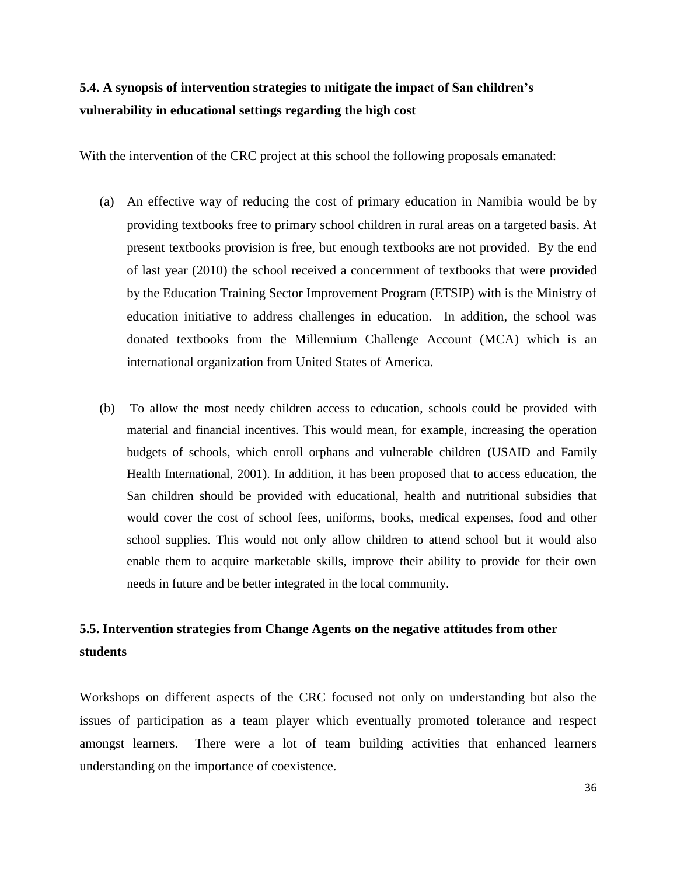### **5.4. A synopsis of intervention strategies to mitigate the impact of San children's vulnerability in educational settings regarding the high cost**

With the intervention of the CRC project at this school the following proposals emanated:

- (a) An effective way of reducing the cost of primary education in Namibia would be by providing textbooks free to primary school children in rural areas on a targeted basis. At present textbooks provision is free, but enough textbooks are not provided. By the end of last year (2010) the school received a concernment of textbooks that were provided by the Education Training Sector Improvement Program (ETSIP) with is the Ministry of education initiative to address challenges in education. In addition, the school was donated textbooks from the Millennium Challenge Account (MCA) which is an international organization from United States of America.
- (b) To allow the most needy children access to education, schools could be provided with material and financial incentives. This would mean, for example, increasing the operation budgets of schools, which enroll orphans and vulnerable children (USAID and Family Health International, 2001). In addition, it has been proposed that to access education, the San children should be provided with educational, health and nutritional subsidies that would cover the cost of school fees, uniforms, books, medical expenses, food and other school supplies. This would not only allow children to attend school but it would also enable them to acquire marketable skills, improve their ability to provide for their own needs in future and be better integrated in the local community.

### **5.5. Intervention strategies from Change Agents on the negative attitudes from other students**

Workshops on different aspects of the CRC focused not only on understanding but also the issues of participation as a team player which eventually promoted tolerance and respect amongst learners. There were a lot of team building activities that enhanced learners understanding on the importance of coexistence.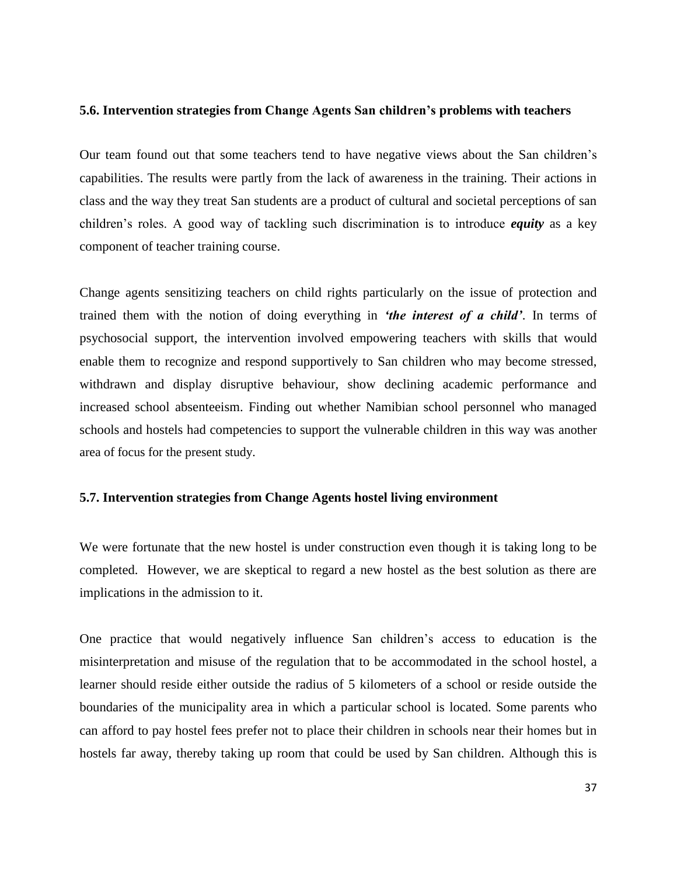#### **5.6. Intervention strategies from Change Agents San children's problems with teachers**

Our team found out that some teachers tend to have negative views about the San children's capabilities. The results were partly from the lack of awareness in the training. Their actions in class and the way they treat San students are a product of cultural and societal perceptions of san children's roles. A good way of tackling such discrimination is to introduce *equity* as a key component of teacher training course.

Change agents sensitizing teachers on child rights particularly on the issue of protection and trained them with the notion of doing everything in *'the interest of a child'*. In terms of psychosocial support, the intervention involved empowering teachers with skills that would enable them to recognize and respond supportively to San children who may become stressed, withdrawn and display disruptive behaviour, show declining academic performance and increased school absenteeism. Finding out whether Namibian school personnel who managed schools and hostels had competencies to support the vulnerable children in this way was another area of focus for the present study.

#### **5.7. Intervention strategies from Change Agents hostel living environment**

We were fortunate that the new hostel is under construction even though it is taking long to be completed. However, we are skeptical to regard a new hostel as the best solution as there are implications in the admission to it.

One practice that would negatively influence San children's access to education is the misinterpretation and misuse of the regulation that to be accommodated in the school hostel, a learner should reside either outside the radius of 5 kilometers of a school or reside outside the boundaries of the municipality area in which a particular school is located. Some parents who can afford to pay hostel fees prefer not to place their children in schools near their homes but in hostels far away, thereby taking up room that could be used by San children. Although this is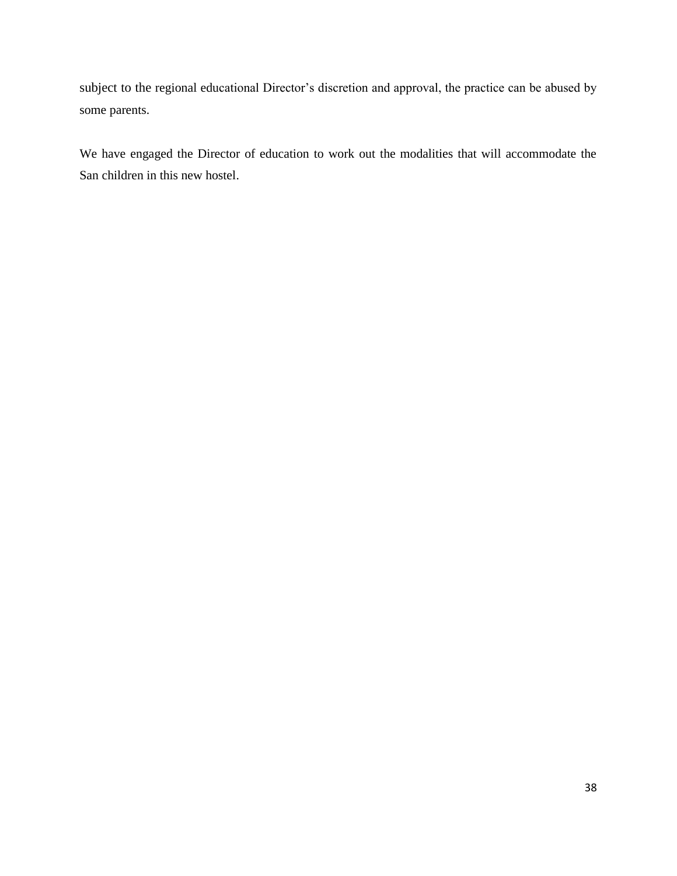subject to the regional educational Director's discretion and approval, the practice can be abused by some parents.

We have engaged the Director of education to work out the modalities that will accommodate the San children in this new hostel.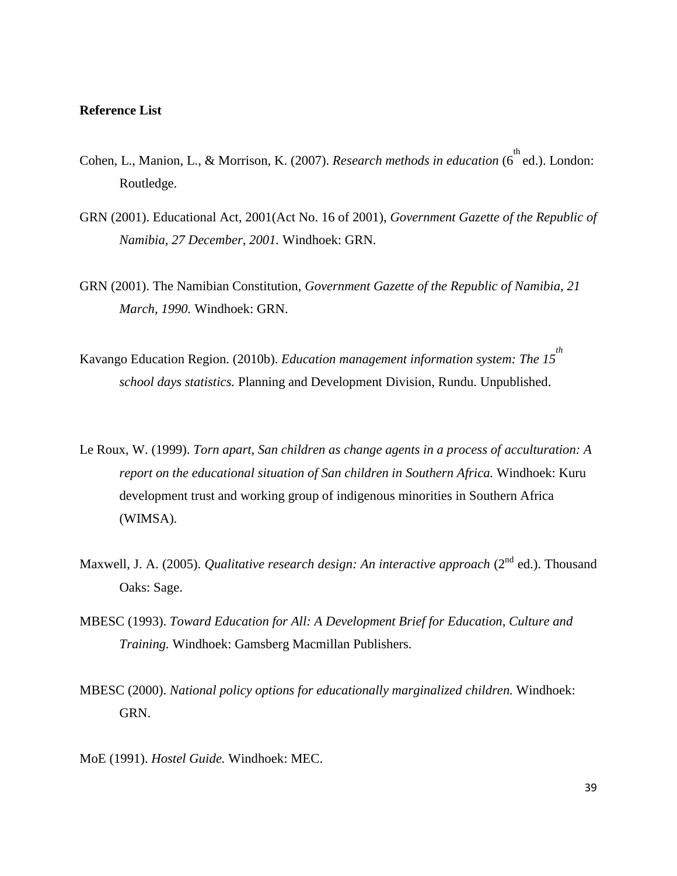#### **Reference List**

- Cohen, L., Manion, L., & Morrison, K. (2007). *Research methods in education* (6<sup>th</sup> ed.). London: Routledge.
- GRN (2001). Educational Act, 2001(Act No. 16 of 2001), *Government Gazette of the Republic of Namibia, 27 December, 2001.* Windhoek: GRN.
- GRN (2001). The Namibian Constitution, *Government Gazette of the Republic of Namibia, 21 March, 1990.* Windhoek: GRN.
- Kavango Education Region. (2010b). *Education management information system: The 15 th school days statistics.* Planning and Development Division*,* Rundu. Unpublished.
- Le Roux, W. (1999). *Torn apart, San children as change agents in a process of acculturation: A report on the educational situation of San children in Southern Africa.* Windhoek: Kuru development trust and working group of indigenous minorities in Southern Africa (WIMSA).
- Maxwell, J. A. (2005). *Qualitative research design: An interactive approach* (2<sup>nd</sup> ed.). Thousand Oaks: Sage.
- MBESC (1993). *Toward Education for All: A Development Brief for Education, Culture and Training.* Windhoek: Gamsberg Macmillan Publishers.
- MBESC (2000). *National policy options for educationally marginalized children.* Windhoek: GRN.
- MoE (1991). *Hostel Guide.* Windhoek: MEC.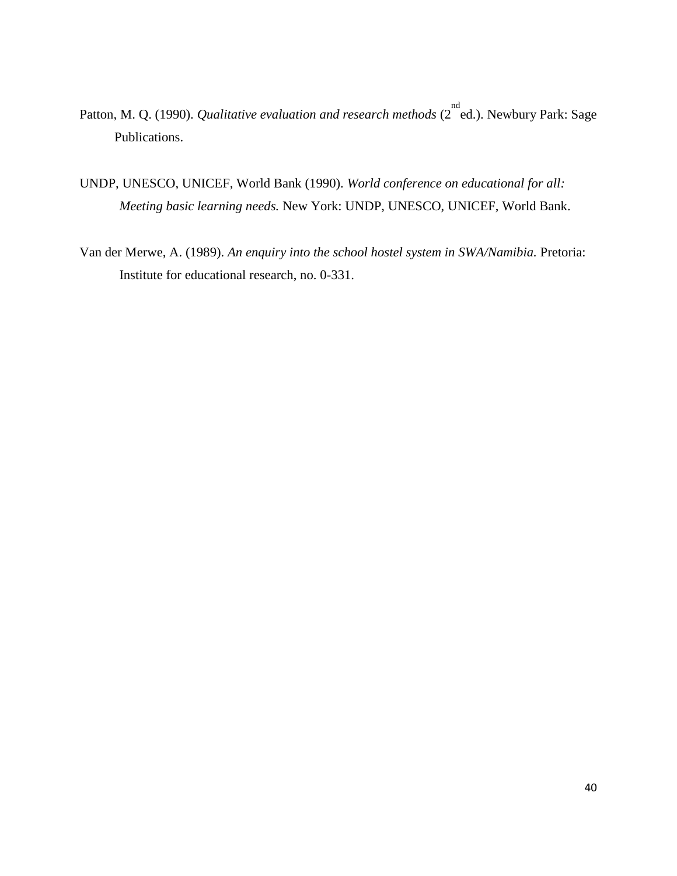- Patton, M. Q. (1990). *Qualitative evaluation and research methods* (2<sup>nd</sup> ed.). Newbury Park: Sage Publications.
- UNDP, UNESCO, UNICEF, World Bank (1990). *World conference on educational for all: Meeting basic learning needs.* New York: UNDP, UNESCO, UNICEF, World Bank.
- Van der Merwe, A. (1989). *An enquiry into the school hostel system in SWA/Namibia.* Pretoria: Institute for educational research, no. 0-331.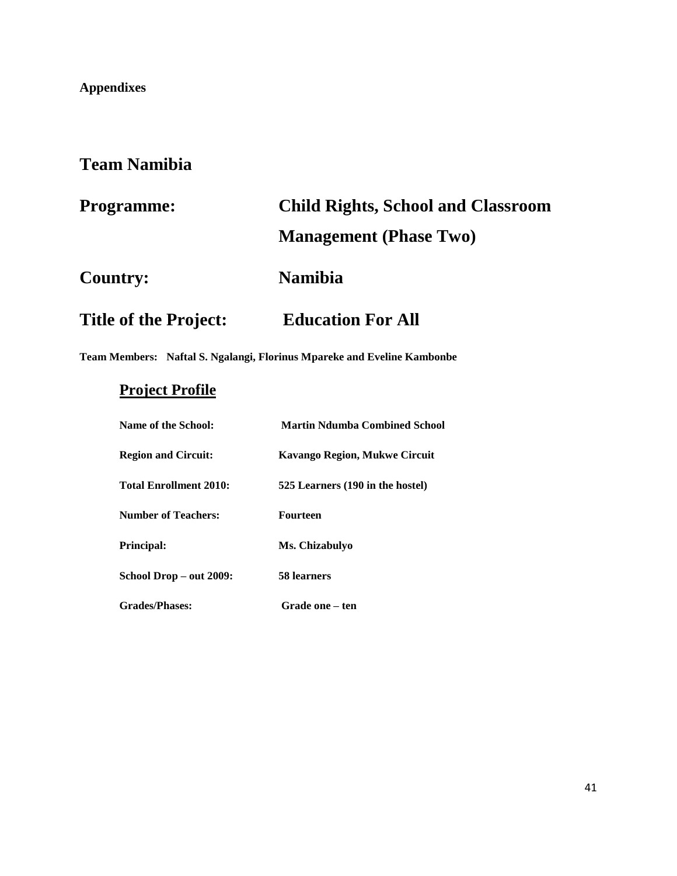### **Appendixes**

# **Team Namibia**

| <b>Programme:</b>            | <b>Child Rights, School and Classroom</b> |  |  |
|------------------------------|-------------------------------------------|--|--|
|                              | <b>Management</b> (Phase Two)             |  |  |
| <b>Country:</b>              | <b>Namibia</b>                            |  |  |
| <b>Title of the Project:</b> | <b>Education For All</b>                  |  |  |

**Team Members: Naftal S. Ngalangi, Florinus Mpareke and Eveline Kambonbe**

# **Project Profile**

| Name of the School:           | <b>Martin Ndumba Combined School</b> |
|-------------------------------|--------------------------------------|
| <b>Region and Circuit:</b>    | <b>Kavango Region, Mukwe Circuit</b> |
| <b>Total Enrollment 2010:</b> | 525 Learners (190 in the hostel)     |
| <b>Number of Teachers:</b>    | Fourteen                             |
| <b>Principal:</b>             | Ms. Chizabulyo                       |
| School Drop - out 2009:       | 58 learners                          |
| <b>Grades/Phases:</b>         | Grade one – ten                      |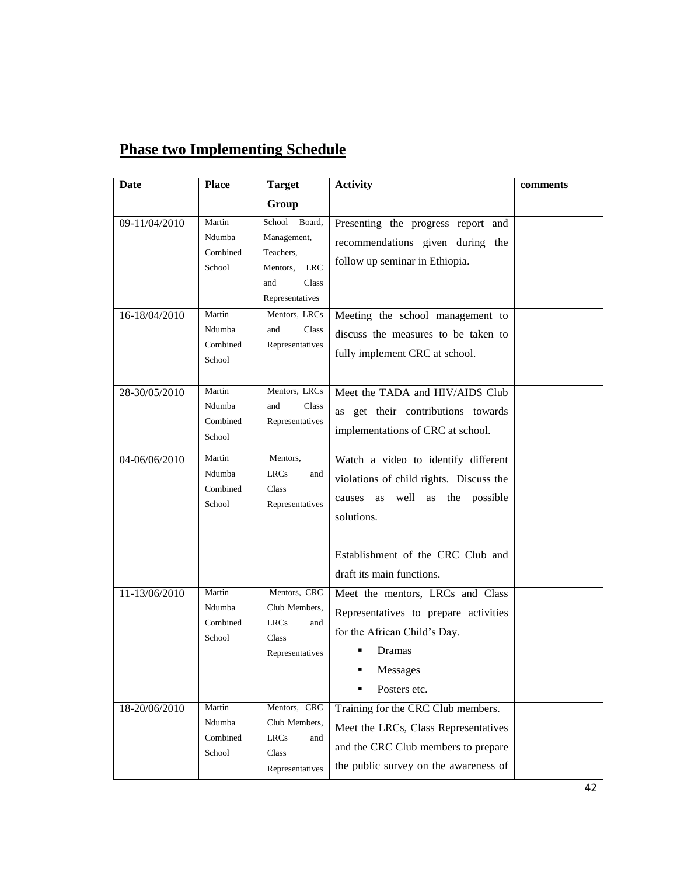| Date          | <b>Place</b>                           | <b>Target</b>                                                                                             | <b>Activity</b>                                                                                                                                                                                              | comments |
|---------------|----------------------------------------|-----------------------------------------------------------------------------------------------------------|--------------------------------------------------------------------------------------------------------------------------------------------------------------------------------------------------------------|----------|
|               |                                        | Group                                                                                                     |                                                                                                                                                                                                              |          |
| 09-11/04/2010 | Martin<br>Ndumba<br>Combined<br>School | Board,<br>School<br>Management,<br>Teachers,<br><b>LRC</b><br>Mentors,<br>Class<br>and<br>Representatives | Presenting the progress report and<br>recommendations given during the<br>follow up seminar in Ethiopia.                                                                                                     |          |
| 16-18/04/2010 | Martin<br>Ndumba<br>Combined<br>School | Mentors, LRCs<br>Class<br>and<br>Representatives                                                          | Meeting the school management to<br>discuss the measures to be taken to<br>fully implement CRC at school.                                                                                                    |          |
| 28-30/05/2010 | Martin<br>Ndumba<br>Combined<br>School | Mentors, LRCs<br>and<br>Class<br>Representatives                                                          | Meet the TADA and HIV/AIDS Club<br>as get their contributions towards<br>implementations of CRC at school.                                                                                                   |          |
| 04-06/06/2010 | Martin<br>Ndumba<br>Combined<br>School | Mentors,<br><b>LRCs</b><br>and<br>Class<br>Representatives                                                | Watch a video to identify different<br>violations of child rights. Discuss the<br>well<br>the<br>possible<br>causes as<br>as<br>solutions.<br>Establishment of the CRC Club and<br>draft its main functions. |          |
| 11-13/06/2010 | Martin<br>Ndumba<br>Combined<br>School | Mentors, CRC<br>Club Members,<br><b>LRCs</b><br>and<br>Class<br>Representatives                           | Meet the mentors, LRCs and Class<br>Representatives to prepare activities<br>for the African Child's Day.<br>Dramas<br>Messages<br>Posters etc.                                                              |          |
| 18-20/06/2010 | Martin<br>Ndumba<br>Combined<br>School | Mentors, CRC<br>Club Members,<br><b>LRCs</b><br>and<br>Class<br>Representatives                           | Training for the CRC Club members.<br>Meet the LRCs, Class Representatives<br>and the CRC Club members to prepare<br>the public survey on the awareness of                                                   |          |

# **Phase two Implementing Schedule**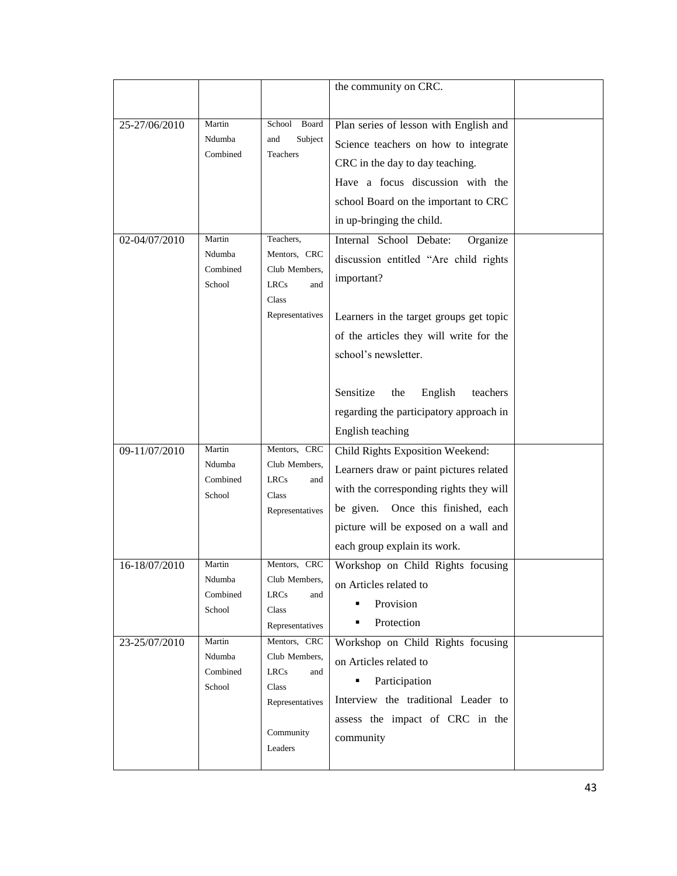|               |                    |                               | the community on CRC.                   |  |
|---------------|--------------------|-------------------------------|-----------------------------------------|--|
|               |                    |                               |                                         |  |
| 25-27/06/2010 | Martin             | Board<br>School               | Plan series of lesson with English and  |  |
|               | Ndumba<br>Combined | Subject<br>and<br>Teachers    | Science teachers on how to integrate    |  |
|               |                    |                               | CRC in the day to day teaching.         |  |
|               |                    |                               | Have a focus discussion with the        |  |
|               |                    |                               | school Board on the important to CRC    |  |
|               |                    |                               | in up-bringing the child.               |  |
| 02-04/07/2010 | Martin             | Teachers,                     | Internal School Debate:<br>Organize     |  |
|               | Ndumba<br>Combined | Mentors, CRC<br>Club Members, | discussion entitled "Are child rights   |  |
|               | School             | <b>LRCs</b><br>and            | important?                              |  |
|               |                    | Class                         |                                         |  |
|               |                    | Representatives               | Learners in the target groups get topic |  |
|               |                    |                               | of the articles they will write for the |  |
|               |                    |                               | school's newsletter.                    |  |
|               |                    |                               |                                         |  |
|               |                    |                               | Sensitize<br>the<br>English<br>teachers |  |
|               |                    |                               | regarding the participatory approach in |  |
|               |                    |                               | English teaching                        |  |
| 09-11/07/2010 | Martin             | Mentors, CRC                  | Child Rights Exposition Weekend:        |  |
|               | Ndumba<br>Combined | Club Members,                 | Learners draw or paint pictures related |  |
|               | School             | <b>LRCs</b><br>and<br>Class   | with the corresponding rights they will |  |
|               |                    | Representatives               | be given. Once this finished, each      |  |
|               |                    |                               | picture will be exposed on a wall and   |  |
|               |                    |                               | each group explain its work.            |  |
| 16-18/07/2010 | Martin             | Mentors, CRC                  | Workshop on Child Rights focusing       |  |
|               | Ndumba<br>Combined | Club Members,<br><b>LRCs</b>  | on Articles related to                  |  |
|               | School             | and<br>Class                  | Provision                               |  |
|               |                    | Representatives               | Protection<br>٠                         |  |
| 23-25/07/2010 | Martin             | Mentors, CRC                  | Workshop on Child Rights focusing       |  |
|               | Ndumba<br>Combined | Club Members,                 | on Articles related to                  |  |
|               | School             | <b>LRCs</b><br>and<br>Class   | Participation                           |  |
|               |                    | Representatives               | Interview the traditional Leader to     |  |
|               |                    |                               | assess the impact of CRC in the         |  |
|               |                    | Community                     | community                               |  |
|               |                    | Leaders                       |                                         |  |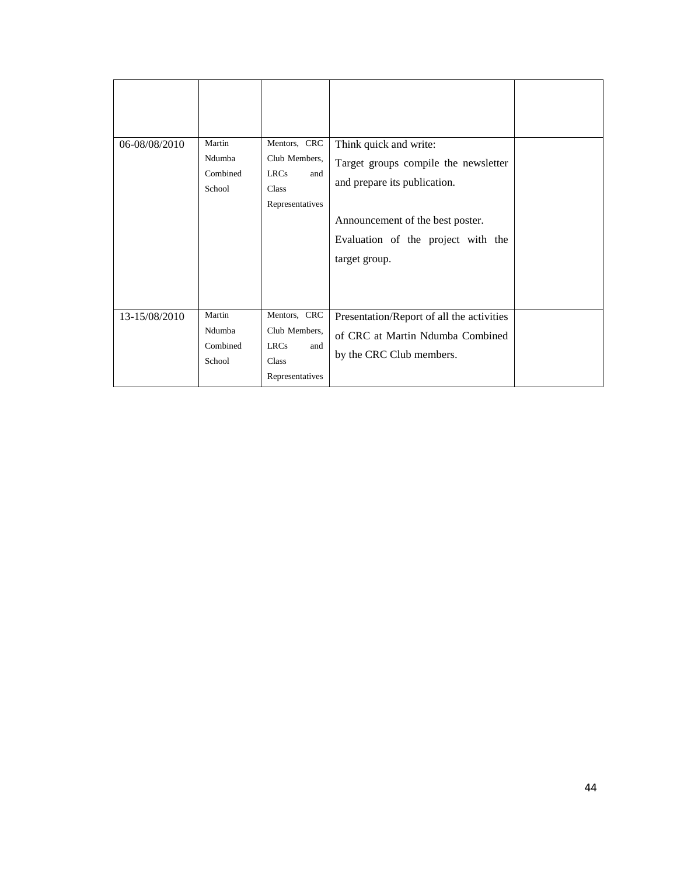| 06-08/08/2010 | Martin<br>Ndumba<br>Combined<br>School | Mentors, CRC<br>Club Members,<br><b>LRCs</b><br>and<br>Class<br>Representatives | Think quick and write:<br>Target groups compile the newsletter<br>and prepare its publication.<br>Announcement of the best poster.<br>Evaluation of the project with the<br>target group. |  |
|---------------|----------------------------------------|---------------------------------------------------------------------------------|-------------------------------------------------------------------------------------------------------------------------------------------------------------------------------------------|--|
| 13-15/08/2010 | Martin<br>Ndumba<br>Combined<br>School | Mentors, CRC<br>Club Members,<br><b>LRCs</b><br>and<br>Class<br>Representatives | Presentation/Report of all the activities<br>of CRC at Martin Ndumba Combined<br>by the CRC Club members.                                                                                 |  |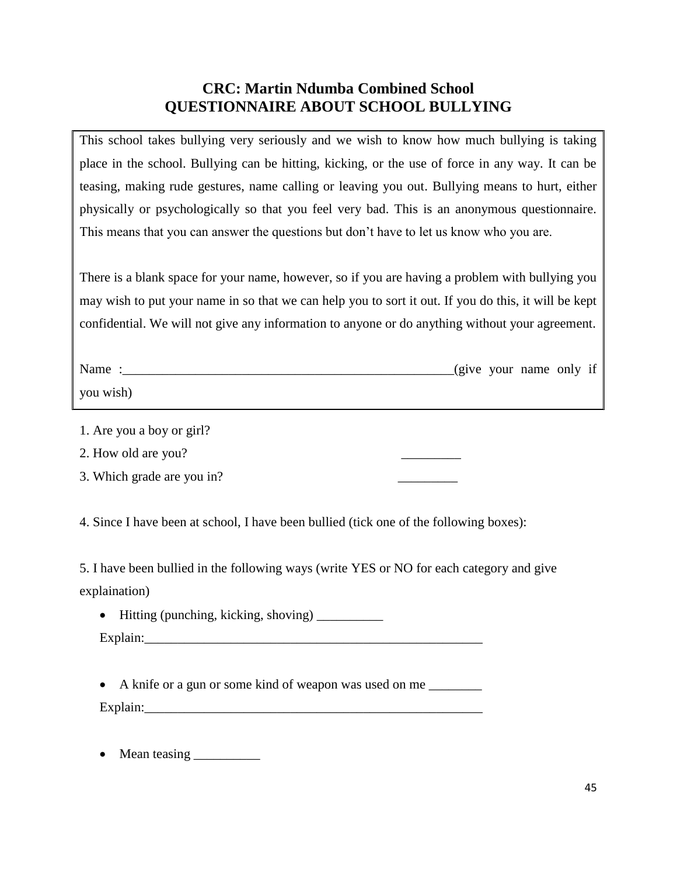### **CRC: Martin Ndumba Combined School QUESTIONNAIRE ABOUT SCHOOL BULLYING**

This school takes bullying very seriously and we wish to know how much bullying is taking place in the school. Bullying can be hitting, kicking, or the use of force in any way. It can be teasing, making rude gestures, name calling or leaving you out. Bullying means to hurt, either physically or psychologically so that you feel very bad. This is an anonymous questionnaire. This means that you can answer the questions but don't have to let us know who you are.

There is a blank space for your name, however, so if you are having a problem with bullying you may wish to put your name in so that we can help you to sort it out. If you do this, it will be kept confidential. We will not give any information to anyone or do anything without your agreement.

| Name      |  | (give your name only if |  |
|-----------|--|-------------------------|--|
| you wish) |  |                         |  |

1. Are you a boy or girl?

2. How old are you?

3. Which grade are you in?

4. Since I have been at school, I have been bullied (tick one of the following boxes):

5. I have been bullied in the following ways (write YES or NO for each category and give explaination)

Hitting (punching, kicking, shoving) \_\_\_\_\_\_\_\_\_\_

| Explain: |  |
|----------|--|
|          |  |

• A knife or a gun or some kind of weapon was used on me Explain:

Mean teasing \_\_\_\_\_\_\_\_\_\_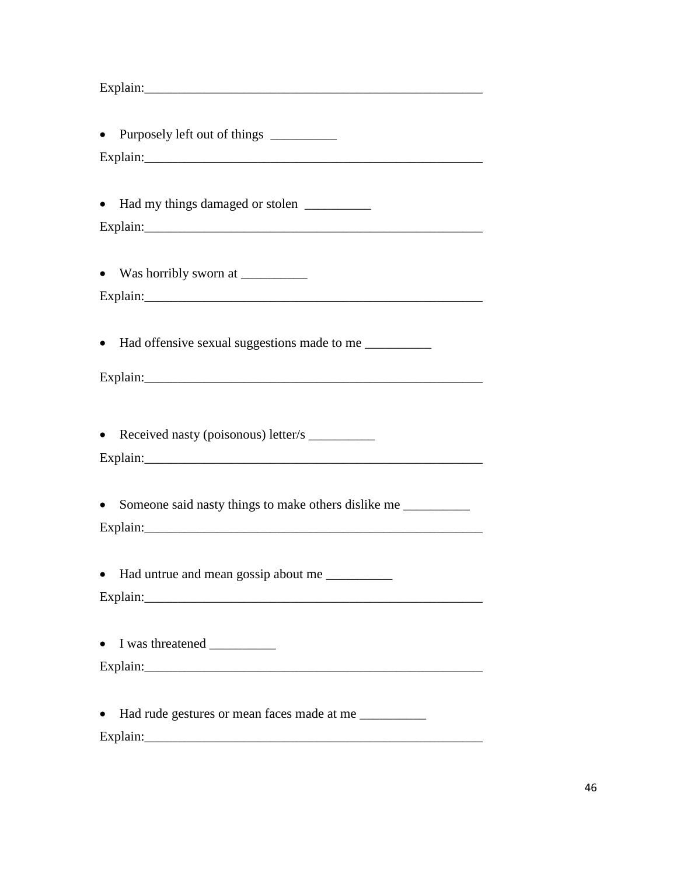$\text{Explain:}\_\_\_\_\_\_\_\_$ 

| • Purposely left out of things ___________                         |
|--------------------------------------------------------------------|
|                                                                    |
|                                                                    |
| • Had my things damaged or stolen ___________                      |
|                                                                    |
|                                                                    |
|                                                                    |
|                                                                    |
|                                                                    |
| • Had offensive sexual suggestions made to me __________           |
|                                                                    |
|                                                                    |
|                                                                    |
| • Received nasty (poisonous) letter/s __________                   |
|                                                                    |
|                                                                    |
| Someone said nasty things to make others dislike me<br>$\bullet$   |
|                                                                    |
|                                                                    |
| • Had untrue and mean gossip about me __________                   |
|                                                                    |
|                                                                    |
| $\bullet$                                                          |
|                                                                    |
|                                                                    |
| Had rude gestures or mean faces made at me __________<br>$\bullet$ |
|                                                                    |